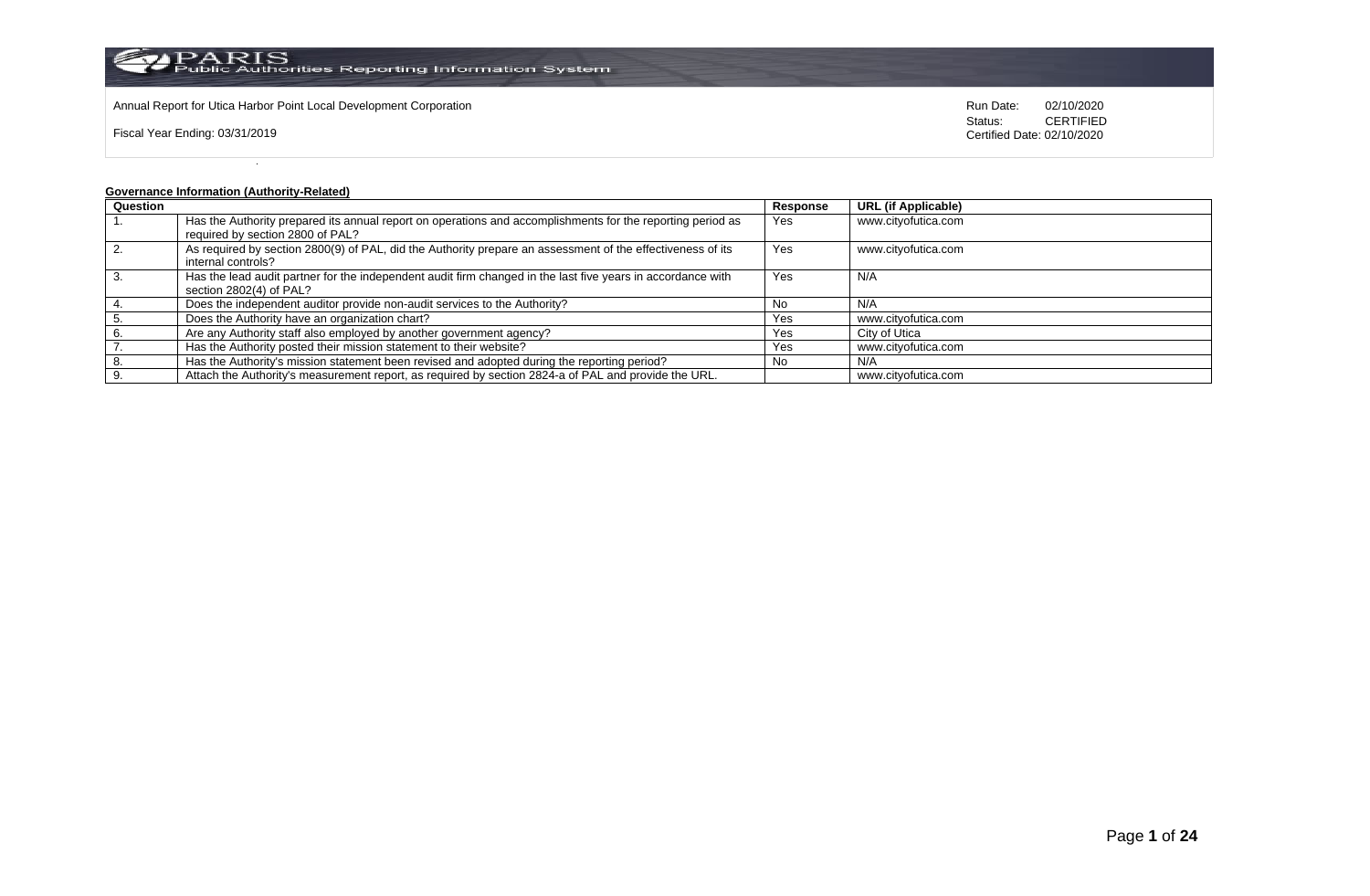

Annual Report for Utica Harbor Point Local Development Corporation **Run Date:** 02/10/2020

Fiscal Year Ending: 03/31/2019

Status: **CERTIFIED** Certified Date: 02/10/2020

## **Governance Information (Authority-Related)**

| Question |                                                                                                             | Response | <b>URL (if Applicable)</b> |
|----------|-------------------------------------------------------------------------------------------------------------|----------|----------------------------|
|          | Has the Authority prepared its annual report on operations and accomplishments for the reporting period as  | Yes      | www.cityofutica.com        |
|          | required by section 2800 of PAL?                                                                            |          |                            |
| 2.       | As required by section 2800(9) of PAL, did the Authority prepare an assessment of the effectiveness of its  | Yes      | www.cityofutica.com        |
|          | internal controls?                                                                                          |          |                            |
|          | Has the lead audit partner for the independent audit firm changed in the last five years in accordance with | Yes      | N/A                        |
|          | section 2802(4) of PAL?                                                                                     |          |                            |
|          | Does the independent auditor provide non-audit services to the Authority?                                   | . No     | N/A                        |
|          | Does the Authority have an organization chart?                                                              | Yes      | www.cityofutica.com        |
|          | Are any Authority staff also employed by another government agency?                                         | Yes      | City of Utica              |
|          | Has the Authority posted their mission statement to their website?                                          | Yes      | www.cityofutica.com        |
|          | Has the Authority's mission statement been revised and adopted during the reporting period?                 | No       | N/A                        |
|          | Attach the Authority's measurement report, as required by section 2824-a of PAL and provide the URL.        |          | www.cityofutica.com        |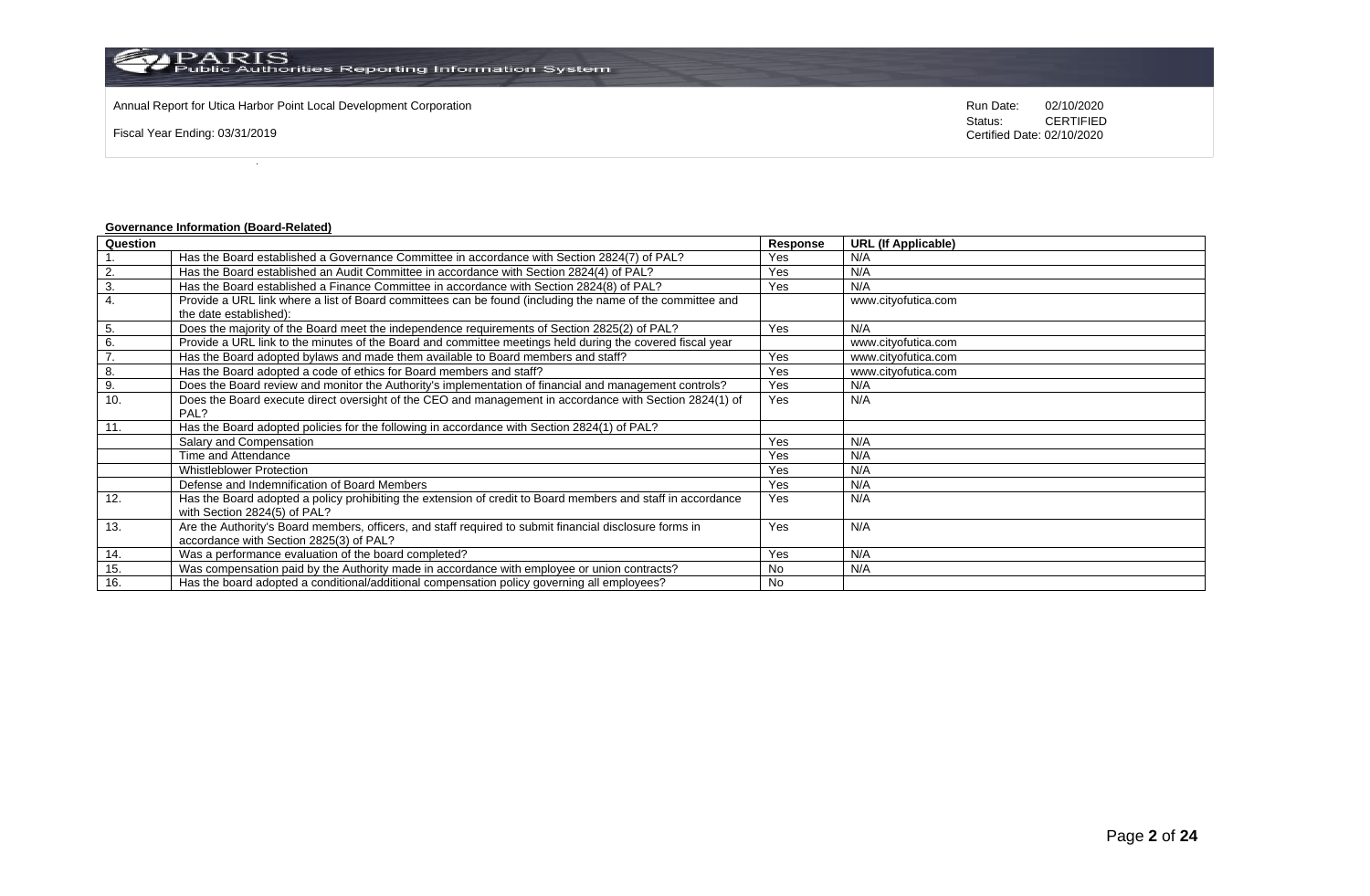Annual Report for Utica Harbor Point Local Development Corporation **Run Date:** 02/10/2020 Run Date: 02/10/2020

Fiscal Year Ending: 03/31/2019

Status: **CERTIFIED** Certified Date: 02/10/2020

## **Governance Information (Board-Related)**

| Question |                                                                                                             | Response | <b>URL (If Applicable)</b> |
|----------|-------------------------------------------------------------------------------------------------------------|----------|----------------------------|
|          | Has the Board established a Governance Committee in accordance with Section 2824(7) of PAL?                 | Yes      | N/A                        |
| 2.       | Has the Board established an Audit Committee in accordance with Section 2824(4) of PAL?                     | Yes      | N/A                        |
| 3.       | Has the Board established a Finance Committee in accordance with Section 2824(8) of PAL?                    | Yes      | N/A                        |
| 4.       | Provide a URL link where a list of Board committees can be found (including the name of the committee and   |          | www.cityofutica.com        |
|          | the date established):                                                                                      |          |                            |
| 5.       | Does the majority of the Board meet the independence requirements of Section 2825(2) of PAL?                | Yes      | N/A                        |
| 6.       | Provide a URL link to the minutes of the Board and committee meetings held during the covered fiscal year   |          | www.cityofutica.com        |
|          | Has the Board adopted bylaws and made them available to Board members and staff?                            | Yes      | www.cityofutica.com        |
| 8.       | Has the Board adopted a code of ethics for Board members and staff?                                         | Yes      | www.cityofutica.com        |
| 9.       | Does the Board review and monitor the Authority's implementation of financial and management controls?      | Yes      | N/A                        |
| 10.      | Does the Board execute direct oversight of the CEO and management in accordance with Section 2824(1) of     | Yes      | N/A                        |
|          | PAL?                                                                                                        |          |                            |
| 11.      | Has the Board adopted policies for the following in accordance with Section 2824(1) of PAL?                 |          |                            |
|          | Salary and Compensation                                                                                     | Yes      | N/A                        |
|          | Time and Attendance                                                                                         | Yes      | N/A                        |
|          | <b>Whistleblower Protection</b>                                                                             | Yes      | N/A                        |
|          | Defense and Indemnification of Board Members                                                                | Yes      | N/A                        |
| 12.      | Has the Board adopted a policy prohibiting the extension of credit to Board members and staff in accordance | Yes      | N/A                        |
|          | with Section 2824(5) of PAL?                                                                                |          |                            |
| 13.      | Are the Authority's Board members, officers, and staff required to submit financial disclosure forms in     | Yes      | N/A                        |
|          | accordance with Section 2825(3) of PAL?                                                                     |          |                            |
| 14.      | Was a performance evaluation of the board completed?                                                        | Yes      | N/A                        |
| 15.      | Was compensation paid by the Authority made in accordance with employee or union contracts?                 | No       | N/A                        |
| 16.      | Has the board adopted a conditional/additional compensation policy governing all employees?                 | No       |                            |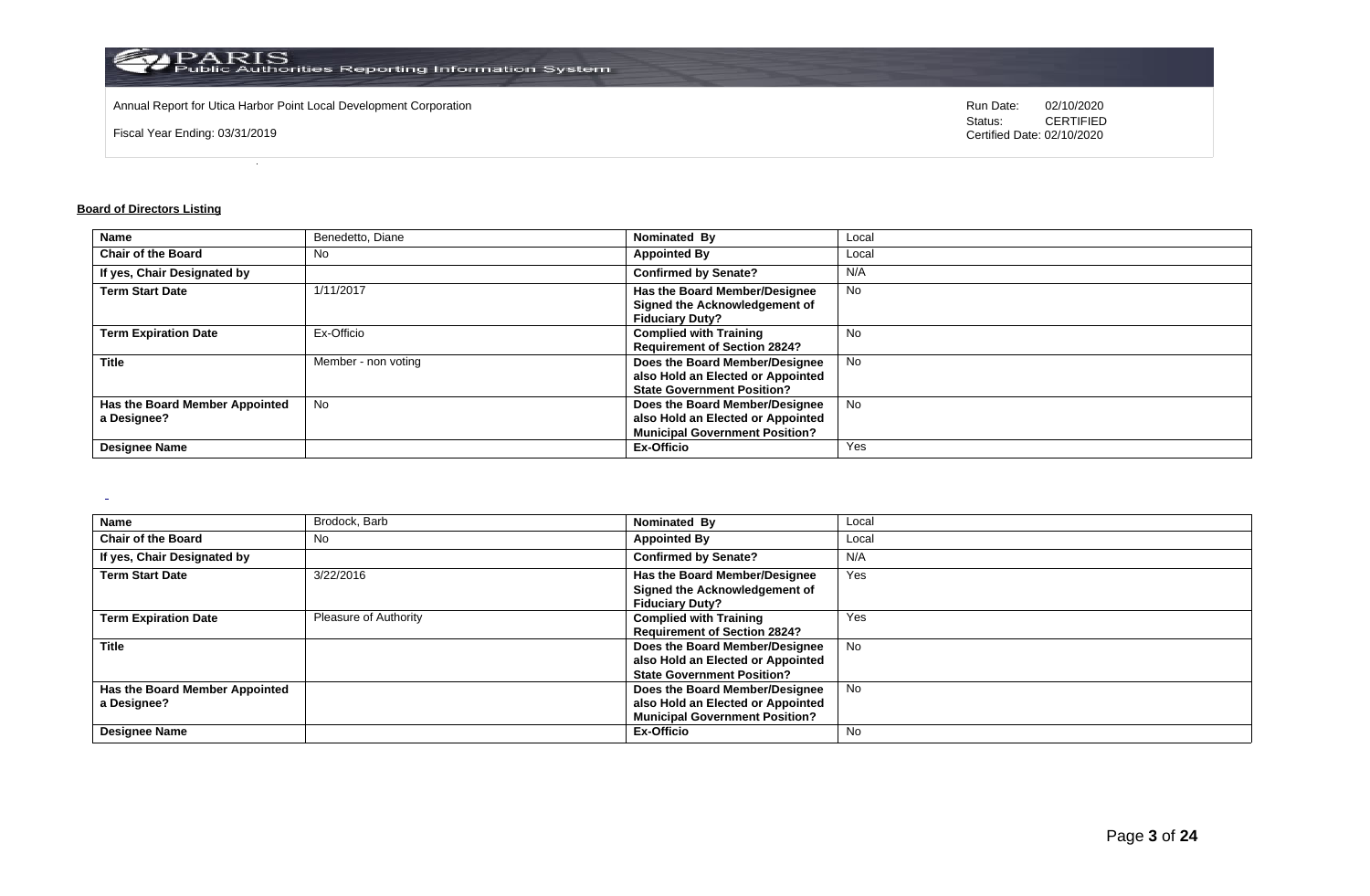

Annual Report for Utica Harbor Point Local Development Corporation **Run Date:** 02/10/2020 Run Date: 02/10/2020

Fiscal Year Ending: 03/31/2019

Status: **CERTIFIED** Certified Date: 02/10/2020

## **Board of Directors Listing**

 $\sim$ 

| <b>Name</b>                    | Benedetto, Diane    | Nominated By                          | Local     |
|--------------------------------|---------------------|---------------------------------------|-----------|
| <b>Chair of the Board</b>      | No.                 | <b>Appointed By</b>                   | Local     |
| If yes, Chair Designated by    |                     | <b>Confirmed by Senate?</b>           | N/A       |
| <b>Term Start Date</b>         | 1/11/2017           | Has the Board Member/Designee         | No        |
|                                |                     | Signed the Acknowledgement of         |           |
|                                |                     | <b>Fiduciary Duty?</b>                |           |
| <b>Term Expiration Date</b>    | Ex-Officio          | <b>Complied with Training</b>         | <b>No</b> |
|                                |                     | <b>Requirement of Section 2824?</b>   |           |
| <b>Title</b>                   | Member - non voting | Does the Board Member/Designee        | No        |
|                                |                     | also Hold an Elected or Appointed     |           |
|                                |                     | <b>State Government Position?</b>     |           |
| Has the Board Member Appointed | <b>No</b>           | Does the Board Member/Designee        | No        |
| a Designee?                    |                     | also Hold an Elected or Appointed     |           |
|                                |                     | <b>Municipal Government Position?</b> |           |
| <b>Designee Name</b>           |                     | Ex-Officio                            | Yes       |

| Name                                                                  | Brodock, Barb                | Nominated By                                                                                                               | Local    |
|-----------------------------------------------------------------------|------------------------------|----------------------------------------------------------------------------------------------------------------------------|----------|
| <b>Chair of the Board</b>                                             | No                           | <b>Appointed By</b>                                                                                                        | Local    |
| If yes, Chair Designated by                                           |                              | <b>Confirmed by Senate?</b>                                                                                                | N/A      |
| <b>Term Start Date</b>                                                | 3/22/2016                    | Has the Board Member/Designee<br>Signed the Acknowledgement of<br><b>Fiduciary Duty?</b>                                   | Yes      |
| <b>Term Expiration Date</b>                                           | <b>Pleasure of Authority</b> | <b>Complied with Training</b><br><b>Requirement of Section 2824?</b>                                                       | Yes      |
| <b>Title</b>                                                          |                              | Does the Board Member/Designee<br>also Hold an Elected or Appointed<br><b>State Government Position?</b>                   | No       |
| Has the Board Member Appointed<br>a Designee?<br><b>Designee Name</b> |                              | Does the Board Member/Designee<br>also Hold an Elected or Appointed<br><b>Municipal Government Position?</b><br>Ex-Officio | No<br>No |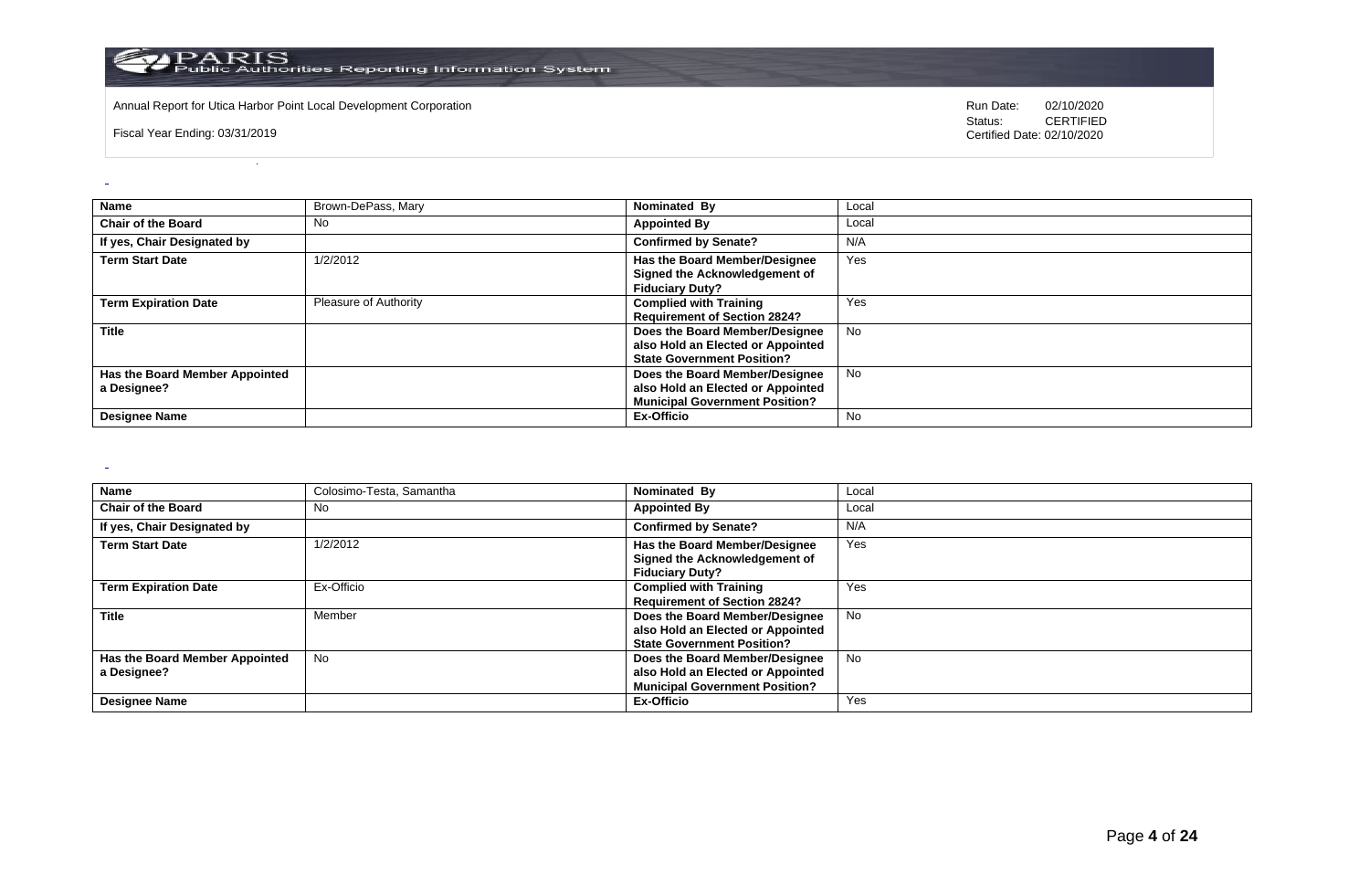

Annual Report for Utica Harbor Point Local Development Corporation **Run Date:** 02/10/2020 Run Date: 02/10/2020

Fiscal Year Ending: 03/31/2019

Status: **CERTIFIED** Certified Date: 02/10/2020

| Name                                          | Brown-DePass, Mary    | Nominated By                                                                                                 | Local     |
|-----------------------------------------------|-----------------------|--------------------------------------------------------------------------------------------------------------|-----------|
| <b>Chair of the Board</b>                     | No                    | <b>Appointed By</b>                                                                                          | Local     |
| If yes, Chair Designated by                   |                       | <b>Confirmed by Senate?</b>                                                                                  | N/A       |
| <b>Term Start Date</b>                        | 1/2/2012              | <b>Has the Board Member/Designee</b><br>Signed the Acknowledgement of<br><b>Fiduciary Duty?</b>              | Yes       |
| <b>Term Expiration Date</b>                   | Pleasure of Authority | <b>Complied with Training</b><br><b>Requirement of Section 2824?</b>                                         | Yes       |
| <b>Title</b>                                  |                       | Does the Board Member/Designee<br>also Hold an Elected or Appointed<br><b>State Government Position?</b>     | <b>No</b> |
| Has the Board Member Appointed<br>a Designee? |                       | Does the Board Member/Designee<br>also Hold an Elected or Appointed<br><b>Municipal Government Position?</b> | No.       |
| <b>Designee Name</b>                          |                       | Ex-Officio                                                                                                   | No.       |

 $\sim$ 

| <b>Name</b>                    | Colosimo-Testa, Samantha | Nominated By                          | Local |
|--------------------------------|--------------------------|---------------------------------------|-------|
| <b>Chair of the Board</b>      | No                       | <b>Appointed By</b>                   | Local |
| If yes, Chair Designated by    |                          | <b>Confirmed by Senate?</b>           | N/A   |
| <b>Term Start Date</b>         | 1/2/2012                 | Has the Board Member/Designee         | Yes   |
|                                |                          | Signed the Acknowledgement of         |       |
|                                |                          | <b>Fiduciary Duty?</b>                |       |
| <b>Term Expiration Date</b>    | Ex-Officio               | <b>Complied with Training</b>         | Yes   |
|                                |                          | <b>Requirement of Section 2824?</b>   |       |
| Title                          | Member                   | Does the Board Member/Designee        | No.   |
|                                |                          | also Hold an Elected or Appointed     |       |
|                                |                          | <b>State Government Position?</b>     |       |
| Has the Board Member Appointed | No                       | Does the Board Member/Designee        | No    |
| a Designee?                    |                          | also Hold an Elected or Appointed     |       |
|                                |                          | <b>Municipal Government Position?</b> |       |
| <b>Designee Name</b>           |                          | Ex-Officio                            | Yes   |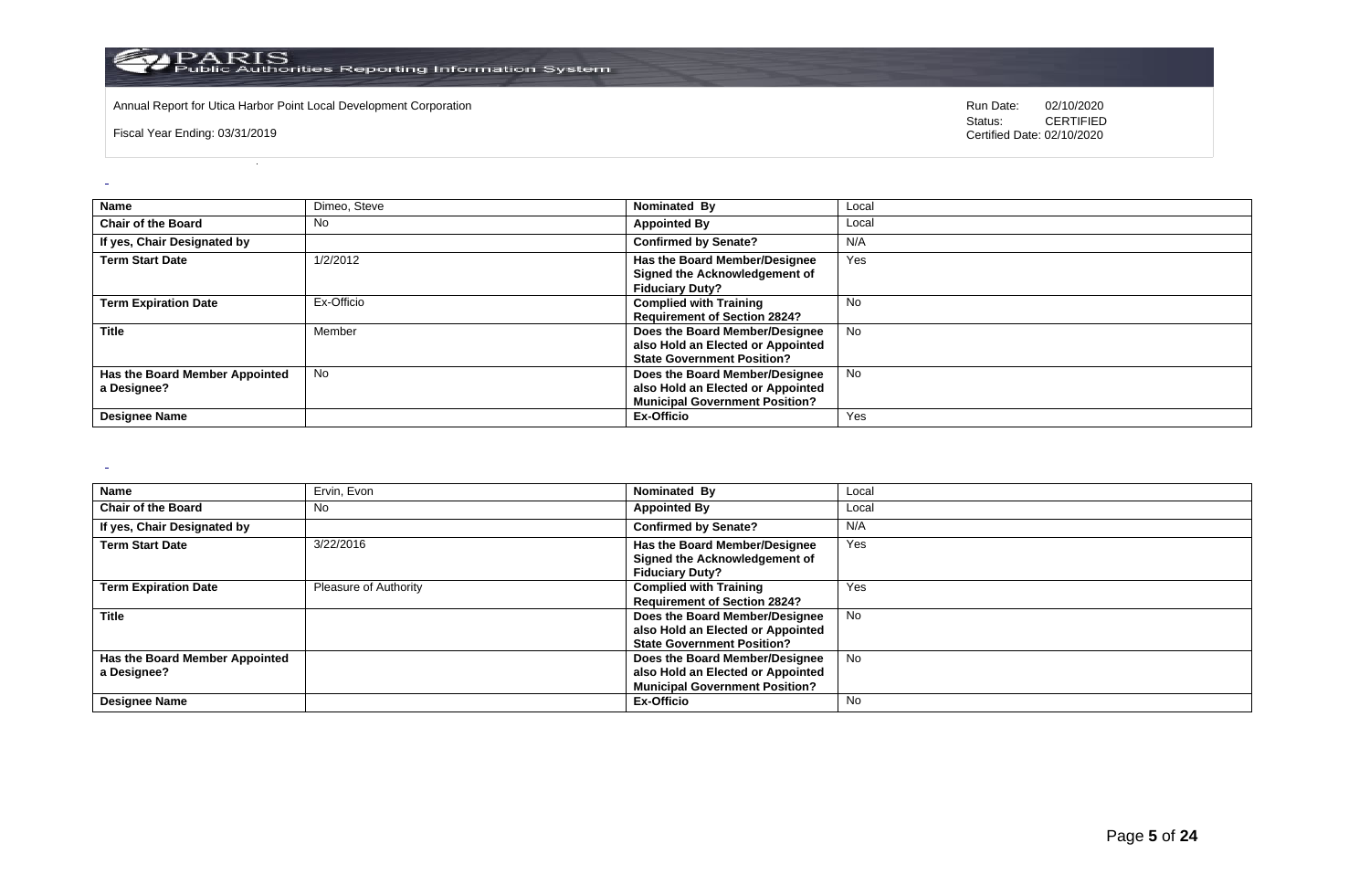

Annual Report for Utica Harbor Point Local Development Corporation **Run Date:** 02/10/2020 Run Date: 02/10/2020

Fiscal Year Ending: 03/31/2019

Status: **CERTIFIED** Certified Date: 02/10/2020

| <b>Name</b>                                   | Dimeo. Steve | Nominated By                                                                                                 | Local     |
|-----------------------------------------------|--------------|--------------------------------------------------------------------------------------------------------------|-----------|
| <b>Chair of the Board</b>                     | No           | <b>Appointed By</b>                                                                                          | Local     |
| If yes, Chair Designated by                   |              | <b>Confirmed by Senate?</b>                                                                                  | N/A       |
| <b>Term Start Date</b>                        | 1/2/2012     | <b>Has the Board Member/Designee</b><br>Signed the Acknowledgement of<br><b>Fiduciary Duty?</b>              | Yes       |
| <b>Term Expiration Date</b>                   | Ex-Officio   | <b>Complied with Training</b><br><b>Requirement of Section 2824?</b>                                         | No        |
| <b>Title</b>                                  | Member       | Does the Board Member/Designee<br>also Hold an Elected or Appointed<br><b>State Government Position?</b>     | <b>No</b> |
| Has the Board Member Appointed<br>a Designee? | <b>No</b>    | Does the Board Member/Designee<br>also Hold an Elected or Appointed<br><b>Municipal Government Position?</b> | No.       |
| <b>Designee Name</b>                          |              | Ex-Officio                                                                                                   | Yes       |

 $\sim$ 

| <b>Name</b>                    | Ervin, Evon           | Nominated By                          | Local     |
|--------------------------------|-----------------------|---------------------------------------|-----------|
| <b>Chair of the Board</b>      | No                    | <b>Appointed By</b>                   | Local     |
| If yes, Chair Designated by    |                       | <b>Confirmed by Senate?</b>           | N/A       |
| <b>Term Start Date</b>         | 3/22/2016             | <b>Has the Board Member/Designee</b>  | Yes       |
|                                |                       | Signed the Acknowledgement of         |           |
|                                |                       | <b>Fiduciary Duty?</b>                |           |
| <b>Term Expiration Date</b>    | Pleasure of Authority | <b>Complied with Training</b>         | Yes       |
|                                |                       | <b>Requirement of Section 2824?</b>   |           |
| <b>Title</b>                   |                       | Does the Board Member/Designee        | No        |
|                                |                       | also Hold an Elected or Appointed     |           |
|                                |                       | <b>State Government Position?</b>     |           |
| Has the Board Member Appointed |                       | Does the Board Member/Designee        | <b>No</b> |
| a Designee?                    |                       | also Hold an Elected or Appointed     |           |
|                                |                       | <b>Municipal Government Position?</b> |           |
| <b>Designee Name</b>           |                       | Ex-Officio                            | <b>No</b> |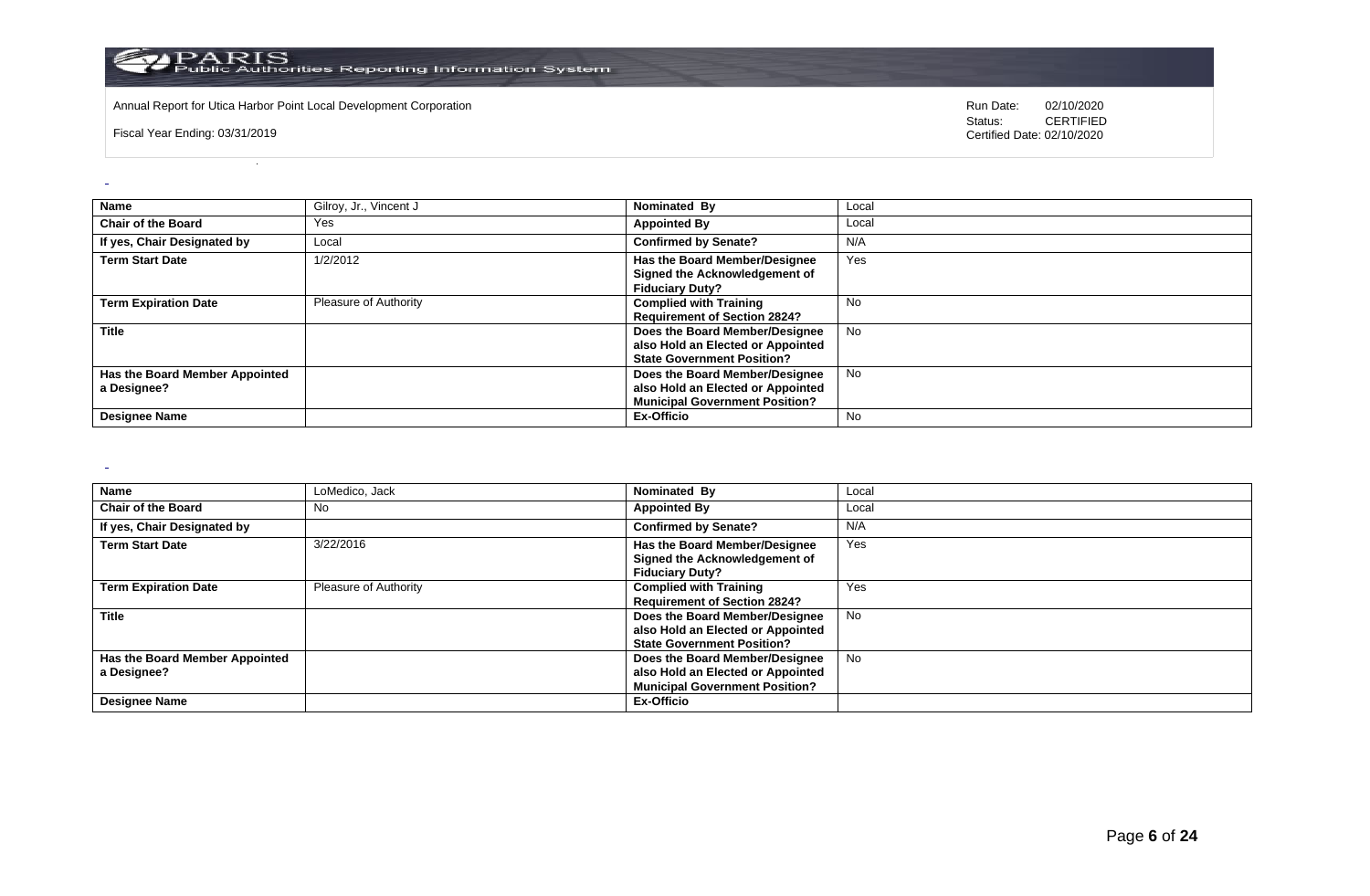

Annual Report for Utica Harbor Point Local Development Corporation **Run Date:** 02/10/2020 Run Date: 02/10/2020

Fiscal Year Ending: 03/31/2019

Status: **CERTIFIED** Certified Date: 02/10/2020

| Name                                          | Gilroy, Jr., Vincent J | Nominated By                                                                                                 | Local     |
|-----------------------------------------------|------------------------|--------------------------------------------------------------------------------------------------------------|-----------|
| <b>Chair of the Board</b>                     | Yes                    | <b>Appointed By</b>                                                                                          | Local     |
| If yes, Chair Designated by                   | Local                  | <b>Confirmed by Senate?</b>                                                                                  | N/A       |
| <b>Term Start Date</b>                        | 1/2/2012               | <b>Has the Board Member/Designee</b><br>Signed the Acknowledgement of<br><b>Fiduciary Duty?</b>              | Yes       |
| <b>Term Expiration Date</b>                   | Pleasure of Authority  | <b>Complied with Training</b><br><b>Requirement of Section 2824?</b>                                         | No        |
| <b>Title</b>                                  |                        | Does the Board Member/Designee<br>also Hold an Elected or Appointed<br><b>State Government Position?</b>     | <b>No</b> |
| Has the Board Member Appointed<br>a Designee? |                        | Does the Board Member/Designee<br>also Hold an Elected or Appointed<br><b>Municipal Government Position?</b> | No.       |
| <b>Designee Name</b>                          |                        | Ex-Officio                                                                                                   | No        |

 $\sim$ 

| <b>Name</b>                    | LoMedico, Jack        | Nominated By                          | Local |
|--------------------------------|-----------------------|---------------------------------------|-------|
| <b>Chair of the Board</b>      | No                    | <b>Appointed By</b>                   | Local |
| If yes, Chair Designated by    |                       | <b>Confirmed by Senate?</b>           | N/A   |
| <b>Term Start Date</b>         | 3/22/2016             | Has the Board Member/Designee         | Yes   |
|                                |                       | Signed the Acknowledgement of         |       |
|                                |                       | <b>Fiduciary Duty?</b>                |       |
| <b>Term Expiration Date</b>    | Pleasure of Authority | <b>Complied with Training</b>         | Yes   |
|                                |                       | <b>Requirement of Section 2824?</b>   |       |
| <b>Title</b>                   |                       | Does the Board Member/Designee        | No    |
|                                |                       | also Hold an Elected or Appointed     |       |
|                                |                       | <b>State Government Position?</b>     |       |
| Has the Board Member Appointed |                       | Does the Board Member/Designee        | No.   |
| a Designee?                    |                       | also Hold an Elected or Appointed     |       |
|                                |                       | <b>Municipal Government Position?</b> |       |
| <b>Designee Name</b>           |                       | Ex-Officio                            |       |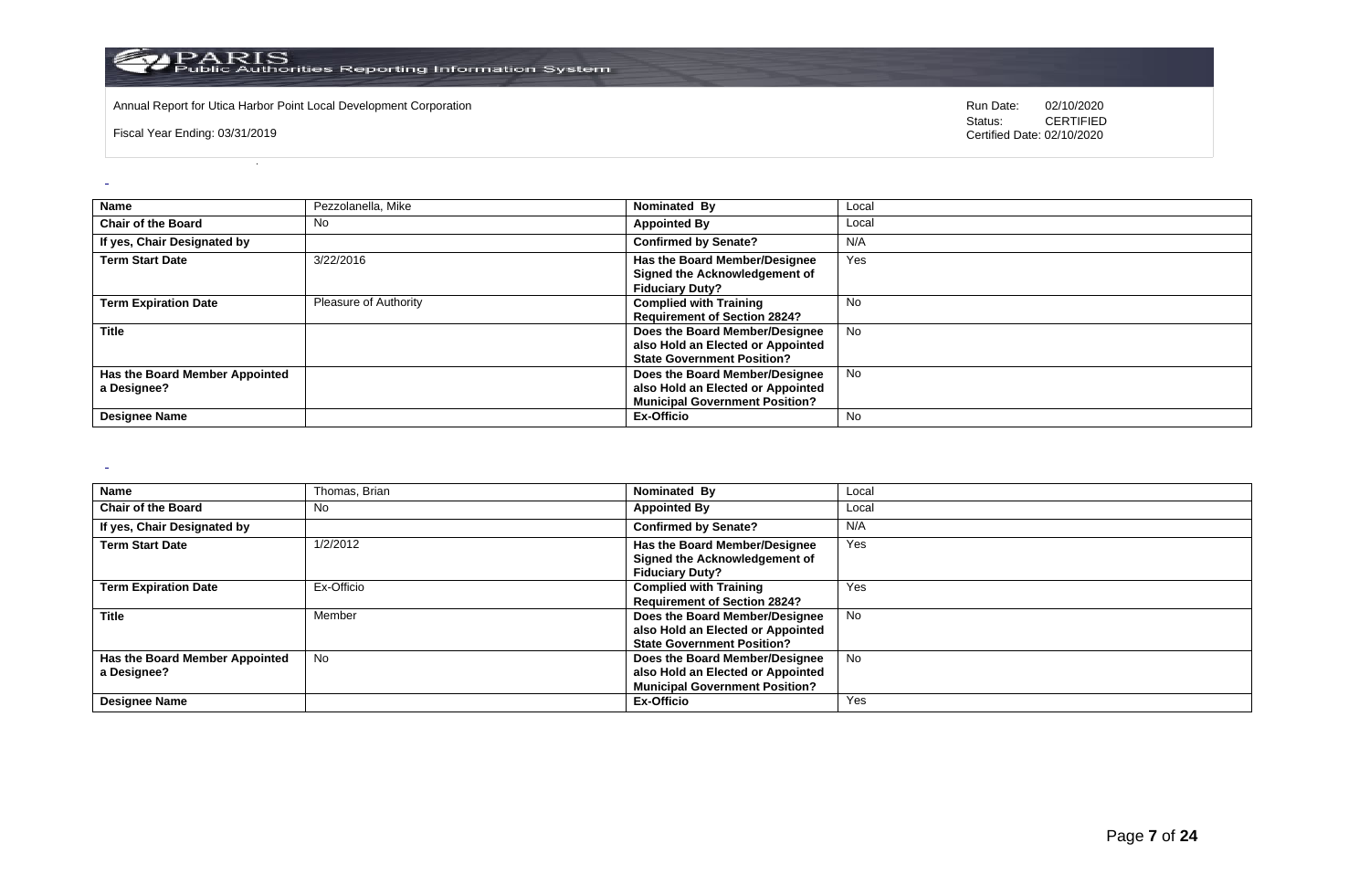

Annual Report for Utica Harbor Point Local Development Corporation **Run Date:** 02/10/2020 Run Date: 02/10/2020

Fiscal Year Ending: 03/31/2019

Status: **CERTIFIED** Certified Date: 02/10/2020

| Name                                          | Pezzolanella, Mike    | Nominated By                                                                                                 | Local     |
|-----------------------------------------------|-----------------------|--------------------------------------------------------------------------------------------------------------|-----------|
| <b>Chair of the Board</b>                     | No                    | <b>Appointed By</b>                                                                                          | Local     |
| If yes, Chair Designated by                   |                       | <b>Confirmed by Senate?</b>                                                                                  | N/A       |
| <b>Term Start Date</b>                        | 3/22/2016             | Has the Board Member/Designee<br>Signed the Acknowledgement of<br><b>Fiduciary Duty?</b>                     | Yes       |
| <b>Term Expiration Date</b>                   | Pleasure of Authority | <b>Complied with Training</b><br><b>Requirement of Section 2824?</b>                                         | No.       |
| <b>Title</b>                                  |                       | Does the Board Member/Designee<br>also Hold an Elected or Appointed<br><b>State Government Position?</b>     | <b>No</b> |
| Has the Board Member Appointed<br>a Designee? |                       | Does the Board Member/Designee<br>also Hold an Elected or Appointed<br><b>Municipal Government Position?</b> | No.       |
| <b>Designee Name</b>                          |                       | Ex-Officio                                                                                                   | No.       |

 $\sim$ 

| <b>Name</b>                    | Thomas, Brian | Nominated By                          | Local |
|--------------------------------|---------------|---------------------------------------|-------|
| <b>Chair of the Board</b>      | No            | <b>Appointed By</b>                   | Local |
| If yes, Chair Designated by    |               | <b>Confirmed by Senate?</b>           | N/A   |
| <b>Term Start Date</b>         | 1/2/2012      | Has the Board Member/Designee         | Yes   |
|                                |               | Signed the Acknowledgement of         |       |
|                                |               | <b>Fiduciary Duty?</b>                |       |
| <b>Term Expiration Date</b>    | Ex-Officio    | <b>Complied with Training</b>         | Yes   |
|                                |               | <b>Requirement of Section 2824?</b>   |       |
| <b>Title</b>                   | Member        | Does the Board Member/Designee        | No    |
|                                |               | also Hold an Elected or Appointed     |       |
|                                |               | <b>State Government Position?</b>     |       |
| Has the Board Member Appointed | No.           | Does the Board Member/Designee        | No.   |
| a Designee?                    |               | also Hold an Elected or Appointed     |       |
|                                |               | <b>Municipal Government Position?</b> |       |
| <b>Designee Name</b>           |               | Ex-Officio                            | Yes   |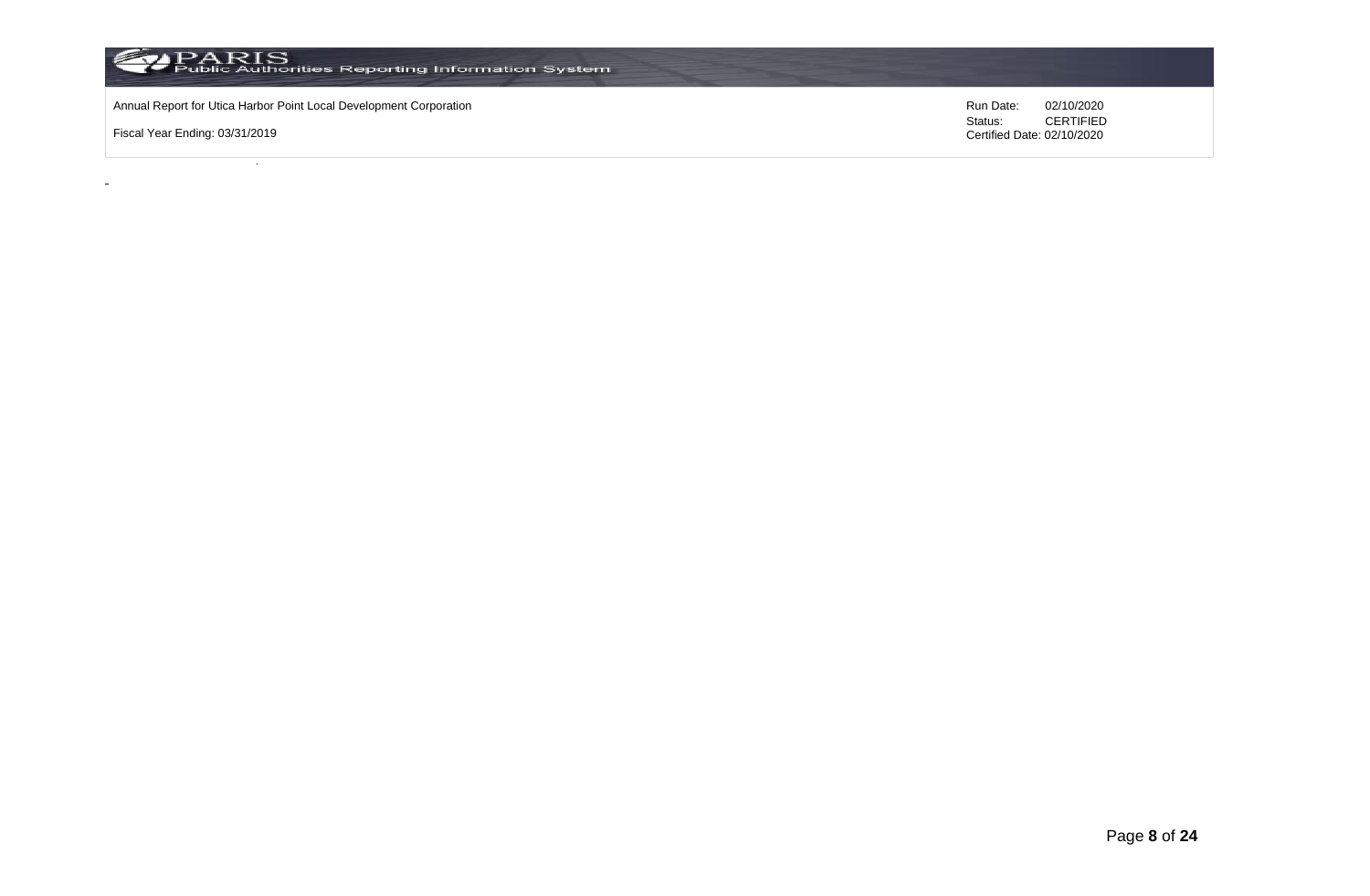

Annual Report for Utica Harbor Point Local Development Corporation **Run Date:** 02/10/2020 Run Date: 02/10/2020

Fiscal Year Ending: 03/31/2019

 $\omega$ 

Status: **CERTIFIED** Certified Date: 02/10/2020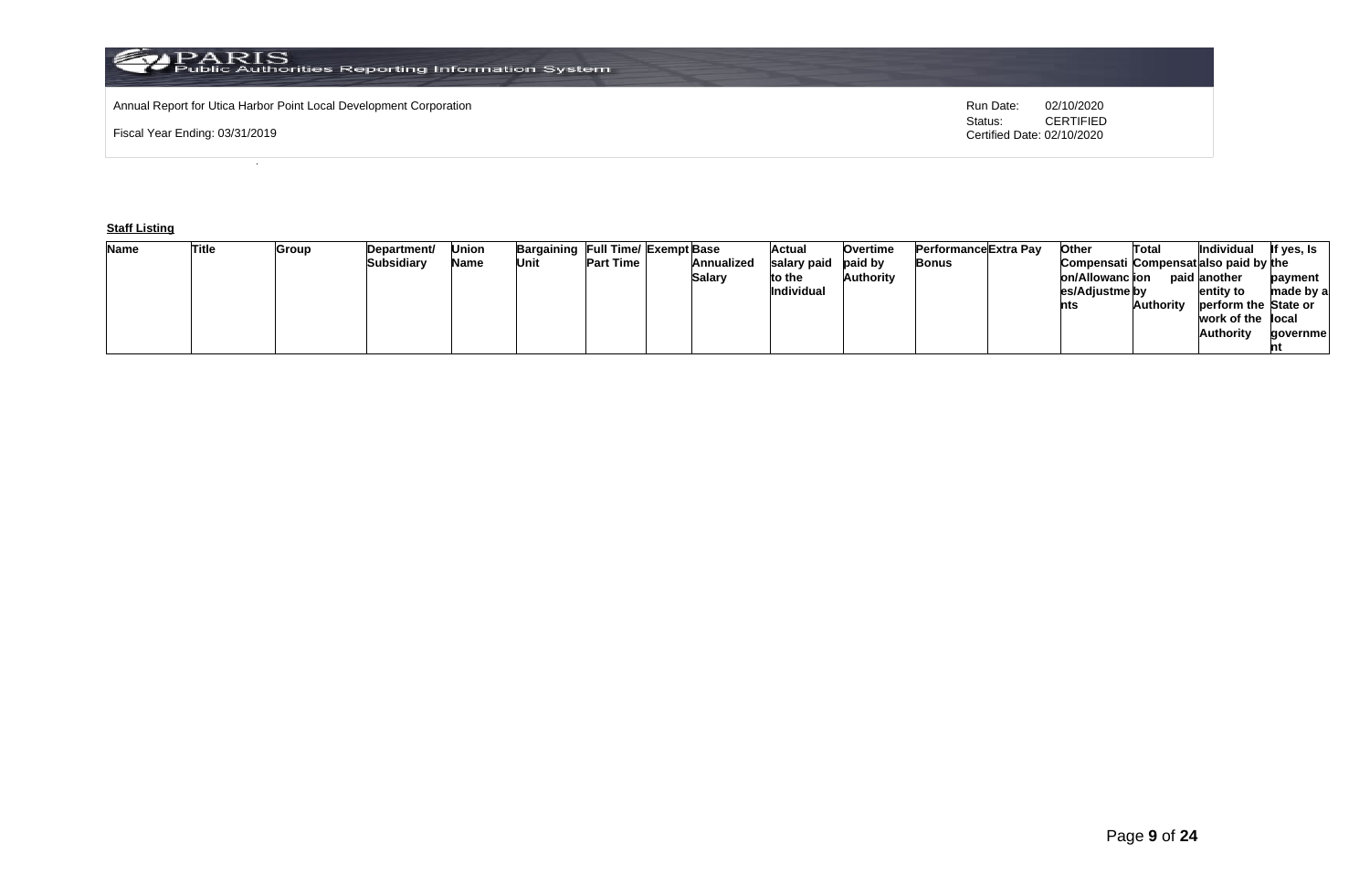

### **Staff Listing**

| <b>Name</b> | Title | Group | Department/       | <b>Union</b> | Bargaining Full Time/ Exempt Base |                  |                   | Actual            | Overtime       | <b>Performance Extra Pay</b> | Other                                 | Total     | Individual           | If yes, Is |
|-------------|-------|-------|-------------------|--------------|-----------------------------------|------------------|-------------------|-------------------|----------------|------------------------------|---------------------------------------|-----------|----------------------|------------|
|             |       |       | <b>Subsidiary</b> | Name         | Unit                              | <b>Part Time</b> | <b>Annualized</b> | salary paid       | <b>paid by</b> | <b>Bonus</b>                 | Compensati Compensatialso paid by the |           |                      |            |
|             |       |       |                   |              |                                   |                  | <b>Salary</b>     | to the            | Authority      |                              | lon/Allowanc lion                     |           | paid another         | payment    |
|             |       |       |                   |              |                                   |                  |                   | <b>Individual</b> |                |                              | es/Adjustme by                        |           | entity to            | made by a  |
|             |       |       |                   |              |                                   |                  |                   |                   |                |                              | nts                                   | Authoritv | berform the State or |            |
|             |       |       |                   |              |                                   |                  |                   |                   |                |                              |                                       |           | work of the llocal   |            |
|             |       |       |                   |              |                                   |                  |                   |                   |                |                              |                                       |           | <b>Authority</b>     | qovernmel  |
|             |       |       |                   |              |                                   |                  |                   |                   |                |                              |                                       |           |                      |            |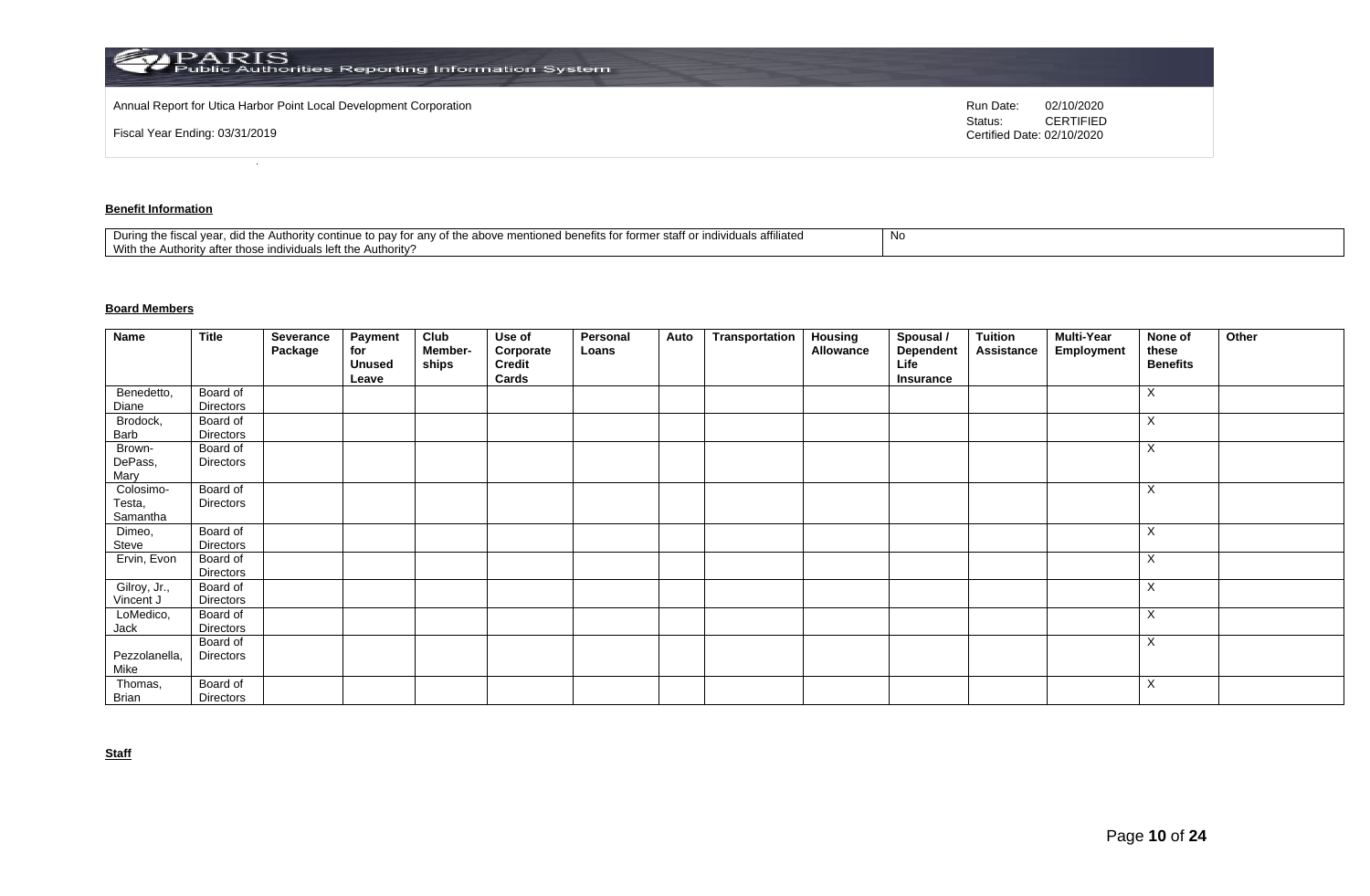| PARIS<br>Public Authorities Reporting Information System           |                                                           |
|--------------------------------------------------------------------|-----------------------------------------------------------|
| Annual Report for Utica Harbor Point Local Development Corporation | 02/10/2020<br>Run Date:                                   |
| Fiscal Year Ending: 03/31/2019                                     | <b>CERTIFIED</b><br>Status:<br>Certified Date: 02/10/2020 |

## **Benefit Information**

| affiliated<br>staff o<br>$+$<br>During the fiscal<br>the above<br>าฑทนค<br>the Authority cor<br>r anv oi<br>individuais en<br>ונזד עי<br>to dav<br>101111 <del>0</del><br>iloneg benems ion<br>1 Y U<br>.<br>With the<br>Authority?<br>uthori<br>.v atte<br>∴ ייטו בווסו∨וסטו forr^ |  |
|-------------------------------------------------------------------------------------------------------------------------------------------------------------------------------------------------------------------------------------------------------------------------------------|--|
|-------------------------------------------------------------------------------------------------------------------------------------------------------------------------------------------------------------------------------------------------------------------------------------|--|

# **Board Members**

| Name                            | <b>Title</b>                 | Severance<br>Package | Payment<br>for<br><b>Unused</b><br>Leave | Club<br><b>Member-</b><br>ships | Use of<br>Corporate<br>Credit<br>Cards | Personal<br>Loans | Auto | Transportation | <b>Housing</b><br>Allowance | Spousal /<br>Dependent<br>Life<br>Insurance | <b>Tuition</b><br>Assistance | <b>Multi-Year</b><br><b>Employment</b> | None of<br>these<br><b>Benefits</b> | Other |
|---------------------------------|------------------------------|----------------------|------------------------------------------|---------------------------------|----------------------------------------|-------------------|------|----------------|-----------------------------|---------------------------------------------|------------------------------|----------------------------------------|-------------------------------------|-------|
| Benedetto,<br>Diane             | Board of<br>Directors        |                      |                                          |                                 |                                        |                   |      |                |                             |                                             |                              |                                        | X                                   |       |
| Brodock,<br>Barb                | Board of<br>Directors        |                      |                                          |                                 |                                        |                   |      |                |                             |                                             |                              |                                        | X                                   |       |
| Brown-<br>DePass,<br>Mary       | Board of<br>Directors        |                      |                                          |                                 |                                        |                   |      |                |                             |                                             |                              |                                        | Χ                                   |       |
| Colosimo-<br>Testa,<br>Samantha | Board of<br><b>Directors</b> |                      |                                          |                                 |                                        |                   |      |                |                             |                                             |                              |                                        | X                                   |       |
| Dimeo,<br>Steve                 | Board of<br>Directors        |                      |                                          |                                 |                                        |                   |      |                |                             |                                             |                              |                                        | X                                   |       |
| Ervin, Evon                     | Board of<br>Directors        |                      |                                          |                                 |                                        |                   |      |                |                             |                                             |                              |                                        | X                                   |       |
| Gilroy, Jr.,<br>Vincent J       | Board of<br>Directors        |                      |                                          |                                 |                                        |                   |      |                |                             |                                             |                              |                                        | X                                   |       |
| LoMedico,<br>Jack               | Board of<br>Directors        |                      |                                          |                                 |                                        |                   |      |                |                             |                                             |                              |                                        | X                                   |       |
| Pezzolanella,<br>Mike           | Board of<br>Directors        |                      |                                          |                                 |                                        |                   |      |                |                             |                                             |                              |                                        | X                                   |       |
| Thomas,<br>Brian                | Board of<br>Directors        |                      |                                          |                                 |                                        |                   |      |                |                             |                                             |                              |                                        | X                                   |       |

**Staff**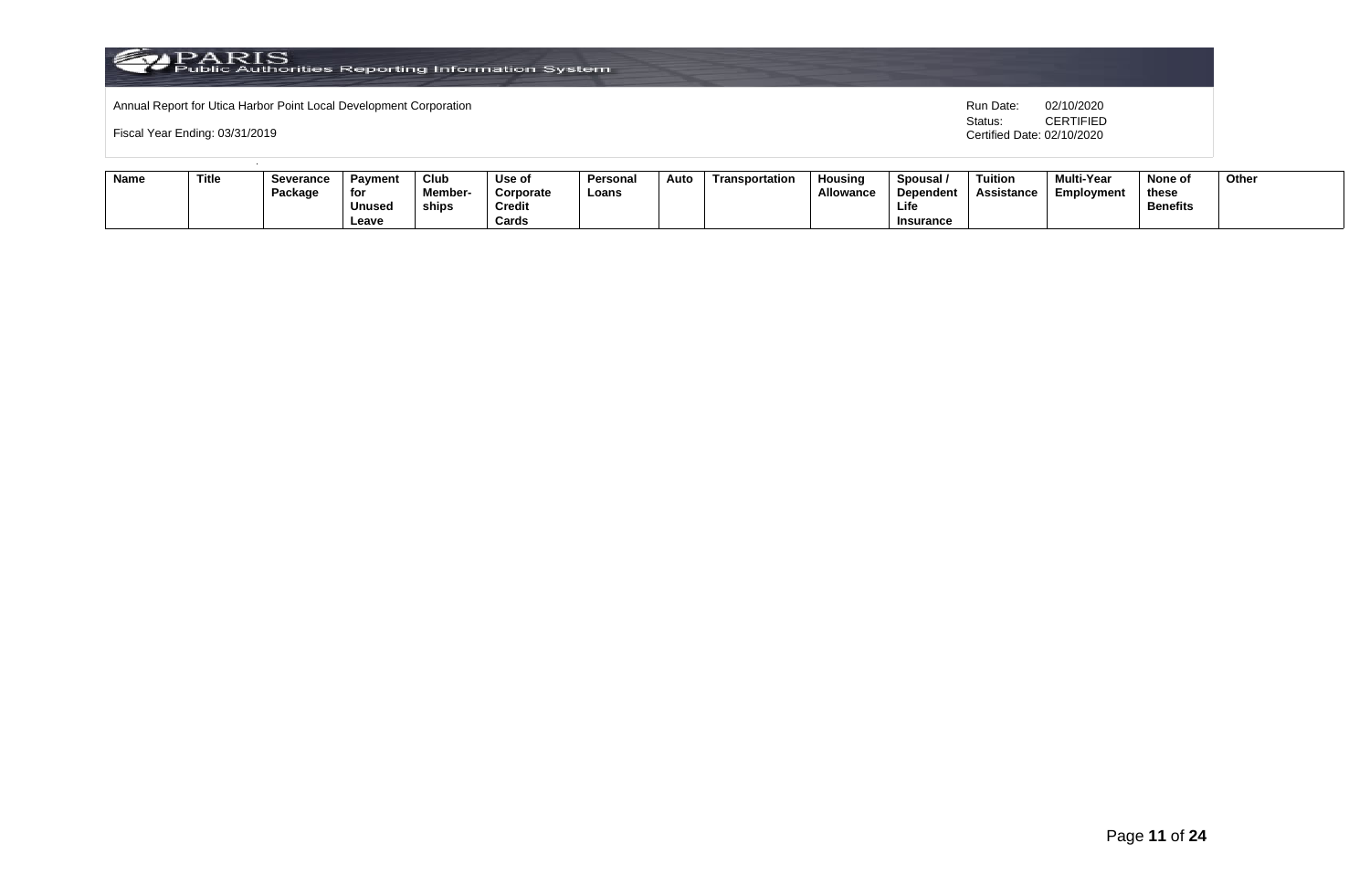

Annual Report for Utica Harbor Point Local Development Corporation **Run Date:** 02/10/2020 Run Date: 02/10/2020

Fiscal Year Ending: 03/31/2019

Status: **CERTIFIED** Certified Date: 02/10/2020

| Name | Title | <b>Severance</b> | Payment       | Club          | Use of    | Persona | Auto | Transportation | Housina         | Spousal          | Tuition    | <b>Multi-Year</b> | None of         | Other |
|------|-------|------------------|---------------|---------------|-----------|---------|------|----------------|-----------------|------------------|------------|-------------------|-----------------|-------|
|      |       | Package          | for           | <b>Member</b> | Corporate | Loans   |      |                | <b>Allowanc</b> | Dependent        | Assistance | Employment        | these           |       |
|      |       |                  | <b>Unused</b> | ships         | Credit    |         |      |                |                 | Life             |            |                   | <b>Benefits</b> |       |
|      |       |                  | Leave         |               | Cards     |         |      |                |                 | <b>Insurance</b> |            |                   |                 |       |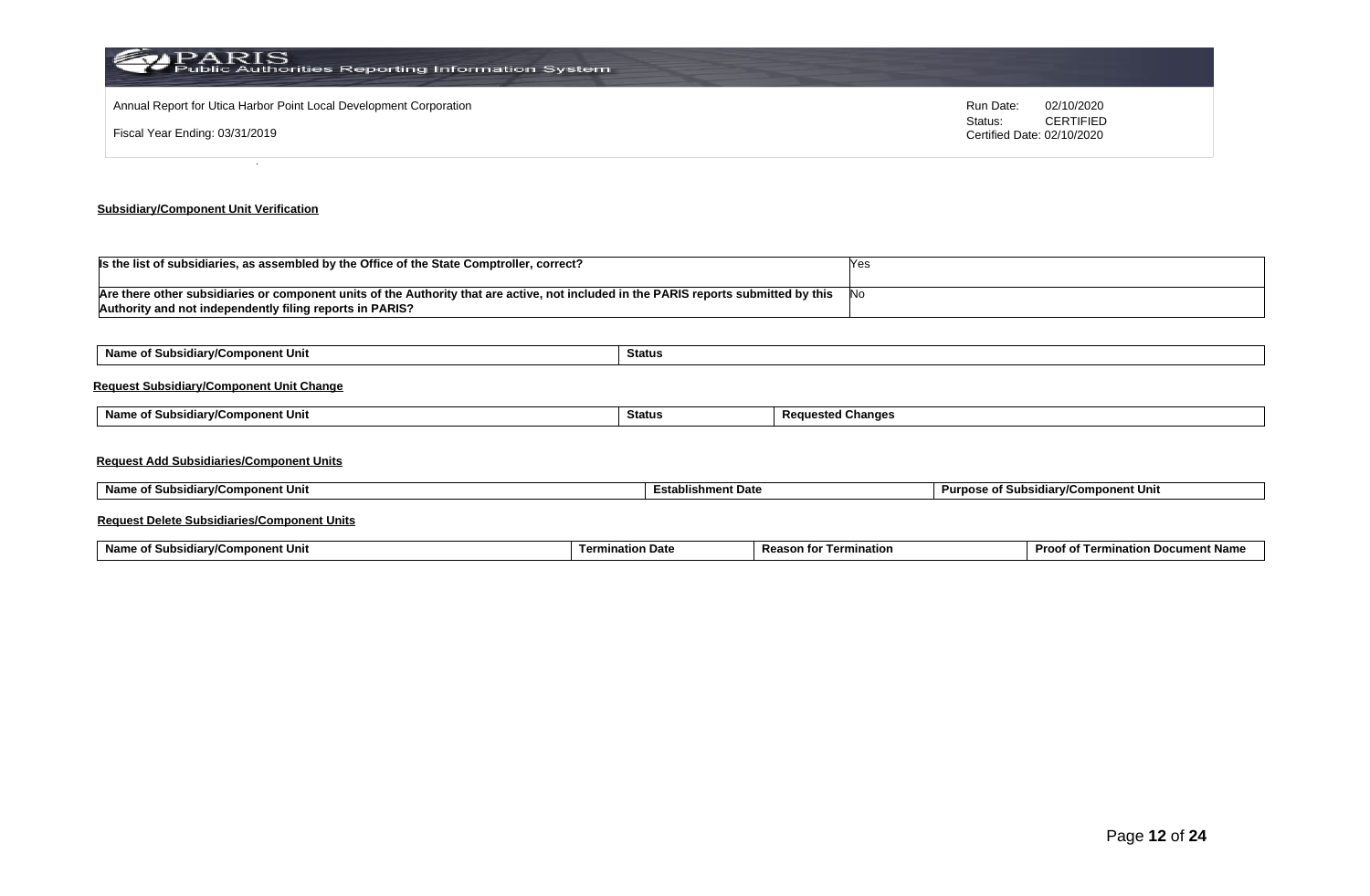| PARIS<br>Public Authorities Reporting Information System           |                                                        |
|--------------------------------------------------------------------|--------------------------------------------------------|
| Annual Report for Utica Harbor Point Local Development Corporation | 02/10/2020<br>Run Date:<br><b>CERTIFIED</b><br>Status: |
| Fiscal Year Ending: 03/31/2019                                     | Certified Date: 02/10/2020                             |
|                                                                    |                                                        |

## **Subsidiary/Component Unit Verification**

| Is the list of subsidiaries, as assembled by the Office of the State Comptroller, correct?                                            |      |
|---------------------------------------------------------------------------------------------------------------------------------------|------|
|                                                                                                                                       |      |
| Are there other subsidiaries or component units of the Authority that are active, not included in the PARIS reports submitted by this | - No |
| Authority and not independently filing reports in PARIS?                                                                              |      |

| Name of Subsidiary/Component Unit               | Status                             |  |  |  |  |  |  |  |  |
|-------------------------------------------------|------------------------------------|--|--|--|--|--|--|--|--|
| <b>Request Subsidiary/Component Unit Change</b> |                                    |  |  |  |  |  |  |  |  |
| Name of Subsidiary/Component Unit               | <b>Requested Changes</b><br>Status |  |  |  |  |  |  |  |  |
|                                                 |                                    |  |  |  |  |  |  |  |  |
| <b>Request Add Subsidiaries/Component Units</b> |                                    |  |  |  |  |  |  |  |  |

### **Request Delete Subsidiaries/Component Units**

| Name o<br>omponent Unit<br>. .<br><b>∍idiar</b> w‴<br><b>SUDSK</b> | tion Date<br>Termi | Reaso<br>mination<br>τοι | Proc.<br>. Docur<br>າent Name<br>natioi.<br>$\overline{a}$<br>ന |
|--------------------------------------------------------------------|--------------------|--------------------------|-----------------------------------------------------------------|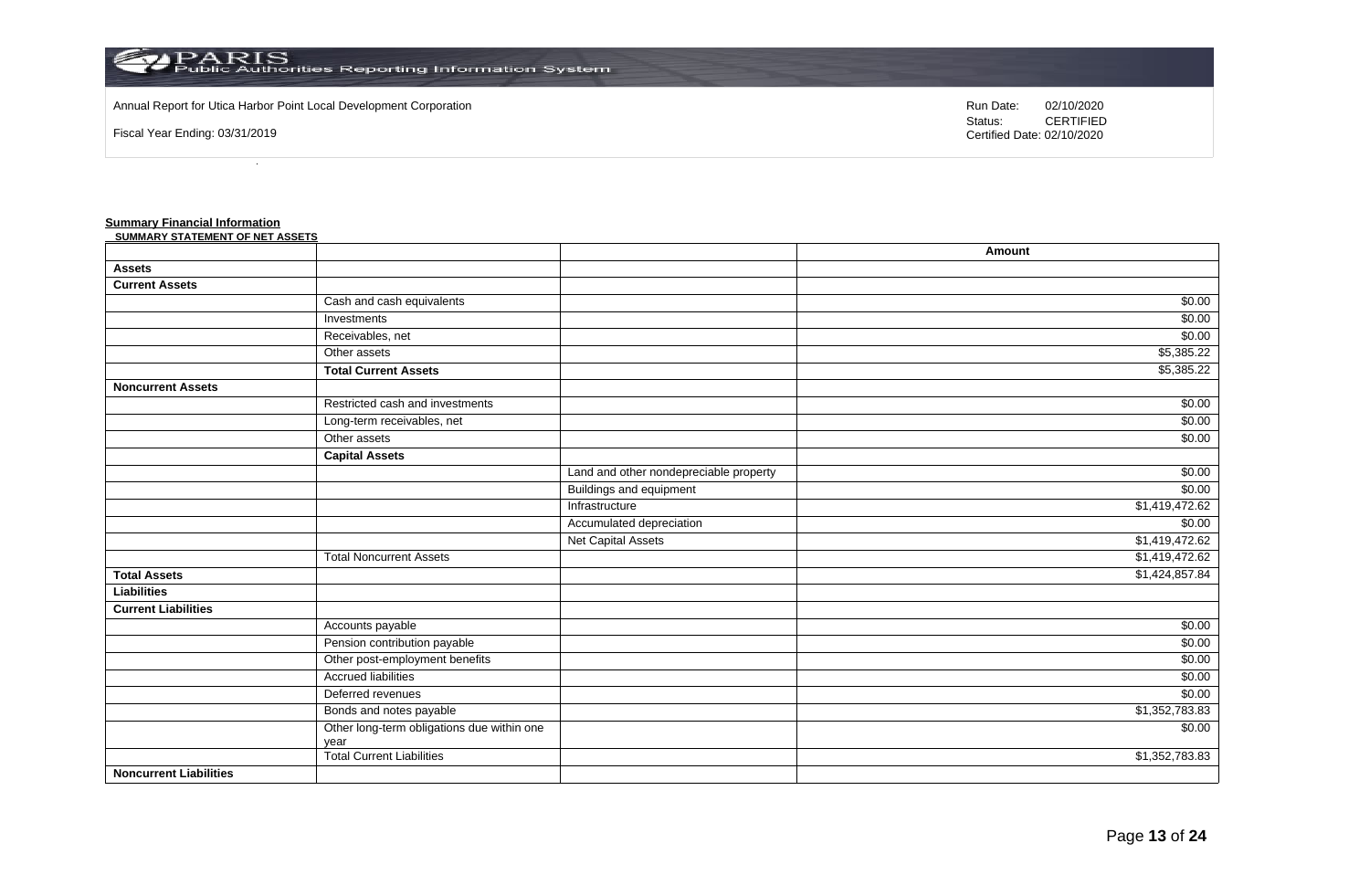

Annual Report for Utica Harbor Point Local Development Corporation **Run Date:** 02/10/2020 Run Date: 02/10/2020

Fiscal Year Ending: 03/31/2019

Status: **CERTIFIED** Certified Date: 02/10/2020

#### **Summary Financial Information**

| SUMMARY STATEMENT OF NET ASSETS |                                                    |                                        |                |
|---------------------------------|----------------------------------------------------|----------------------------------------|----------------|
|                                 |                                                    |                                        | Amount         |
| <b>Assets</b>                   |                                                    |                                        |                |
| <b>Current Assets</b>           |                                                    |                                        |                |
|                                 | Cash and cash equivalents                          |                                        | \$0.00         |
|                                 | Investments                                        |                                        | \$0.00         |
|                                 | Receivables, net                                   |                                        | \$0.00         |
|                                 | Other assets                                       |                                        | \$5,385.22     |
|                                 | <b>Total Current Assets</b>                        |                                        | \$5,385.22     |
| <b>Noncurrent Assets</b>        |                                                    |                                        |                |
|                                 | Restricted cash and investments                    |                                        | \$0.00         |
|                                 | Long-term receivables, net                         |                                        | \$0.00         |
|                                 | Other assets                                       |                                        | \$0.00         |
|                                 | <b>Capital Assets</b>                              |                                        |                |
|                                 |                                                    | Land and other nondepreciable property | \$0.00         |
|                                 |                                                    | <b>Buildings and equipment</b>         | \$0.00         |
|                                 |                                                    | Infrastructure                         | \$1,419,472.62 |
|                                 |                                                    | Accumulated depreciation               | \$0.00         |
|                                 |                                                    | <b>Net Capital Assets</b>              | \$1,419,472.62 |
|                                 | <b>Total Noncurrent Assets</b>                     |                                        | \$1,419,472.62 |
| <b>Total Assets</b>             |                                                    |                                        | \$1,424,857.84 |
| <b>Liabilities</b>              |                                                    |                                        |                |
| <b>Current Liabilities</b>      |                                                    |                                        |                |
|                                 | Accounts payable                                   |                                        | \$0.00         |
|                                 | Pension contribution payable                       |                                        | \$0.00         |
|                                 | Other post-employment benefits                     |                                        | \$0.00         |
|                                 | <b>Accrued liabilities</b>                         |                                        | \$0.00         |
|                                 | Deferred revenues                                  |                                        | \$0.00         |
|                                 | Bonds and notes payable                            |                                        | \$1,352,783.83 |
|                                 | Other long-term obligations due within one<br>year |                                        | \$0.00         |
|                                 | Total Current Liabilities                          |                                        | \$1,352,783.83 |
| <b>Noncurrent Liabilities</b>   |                                                    |                                        |                |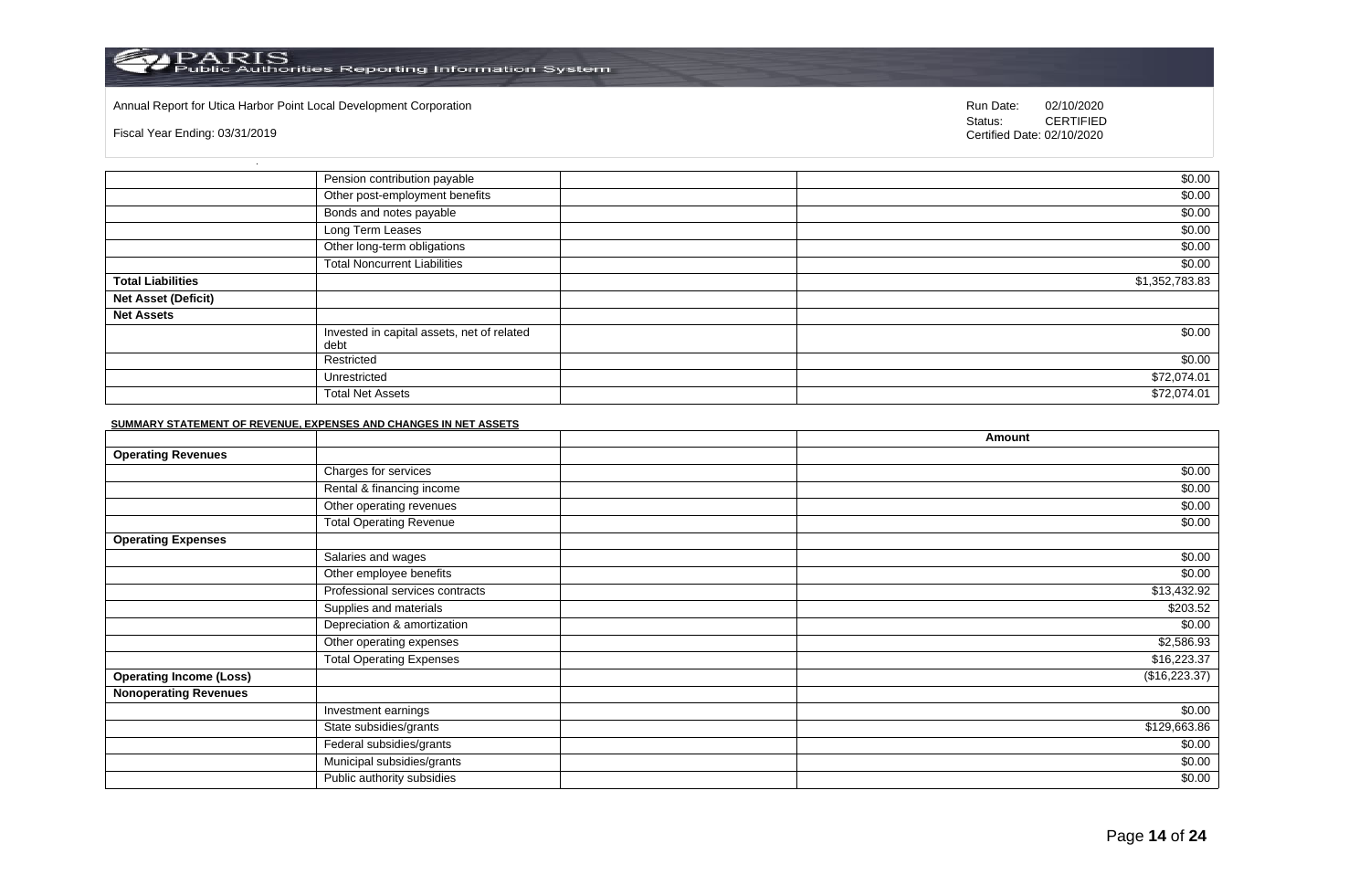### Annual Report for Utica Harbor Point Local Development Corporation **Run Date:** 02/10/2020 Run Date: 02/10/2020

Fiscal Year Ending: 03/31/2019

Status: **CERTIFIED** Certified Date: 02/10/2020

|                            | Pension contribution payable                       | \$0.00         |
|----------------------------|----------------------------------------------------|----------------|
|                            | Other post-employment benefits                     | \$0.00         |
|                            | Bonds and notes payable                            | \$0.00         |
|                            | Long Term Leases                                   | \$0.00         |
|                            | Other long-term obligations                        | \$0.00         |
|                            | <b>Total Noncurrent Liabilities</b>                | \$0.00         |
| <b>Total Liabilities</b>   |                                                    | \$1,352,783.83 |
| <b>Net Asset (Deficit)</b> |                                                    |                |
| <b>Net Assets</b>          |                                                    |                |
|                            | Invested in capital assets, net of related<br>debt | \$0.00         |
|                            | Restricted                                         | \$0.00         |
|                            | Unrestricted                                       | \$72,074.01    |
|                            | <b>Total Net Assets</b>                            | \$72,074.01    |

#### **SUMMARY STATEMENT OF REVENUE, EXPENSES AND CHANGES IN NET ASSETS**

|                                |                                 | Amount        |
|--------------------------------|---------------------------------|---------------|
| <b>Operating Revenues</b>      |                                 |               |
|                                | Charges for services            | \$0.00        |
|                                | Rental & financing income       | \$0.00        |
|                                | Other operating revenues        | \$0.00        |
|                                | <b>Total Operating Revenue</b>  | \$0.00        |
| <b>Operating Expenses</b>      |                                 |               |
|                                | Salaries and wages              | \$0.00        |
|                                | Other employee benefits         | \$0.00        |
|                                | Professional services contracts | \$13,432.92   |
|                                | Supplies and materials          | \$203.52      |
|                                | Depreciation & amortization     | \$0.00        |
|                                | Other operating expenses        | \$2,586.93    |
|                                | <b>Total Operating Expenses</b> | \$16,223.37   |
| <b>Operating Income (Loss)</b> |                                 | (\$16,223.37) |
| <b>Nonoperating Revenues</b>   |                                 |               |
|                                | Investment earnings             | \$0.00        |
|                                | State subsidies/grants          | \$129,663.86  |
|                                | Federal subsidies/grants        | \$0.00        |
|                                | Municipal subsidies/grants      | \$0.00        |
|                                | Public authority subsidies      | \$0.00        |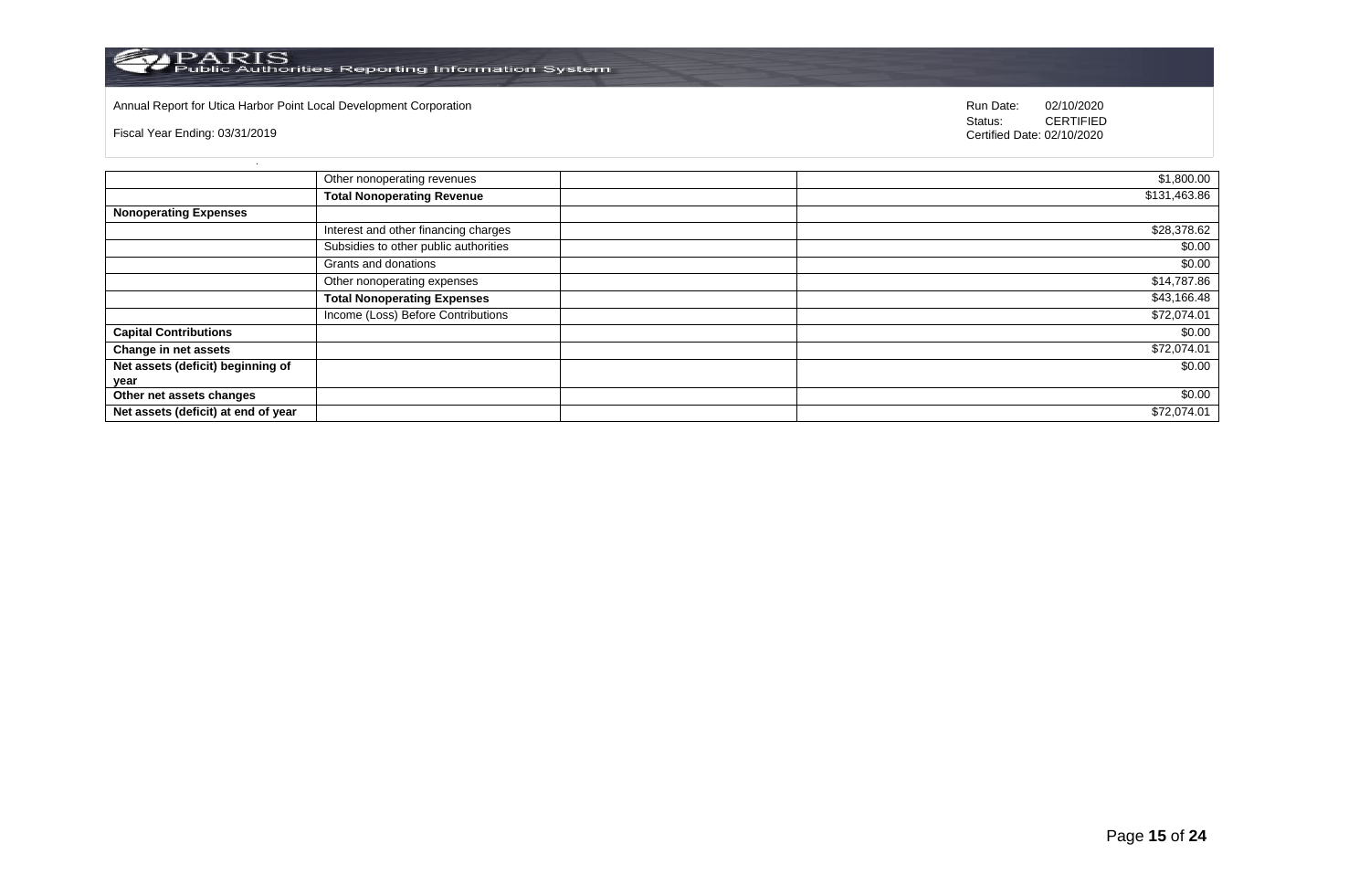

# Annual Report for Utica Harbor Point Local Development Corporation **Run Date:** 02/10/2020 Run Date: 02/10/2020

Fiscal Year Ending: 03/31/2019

Status: **CERTIFIED** Certified Date: 02/10/2020

|                                     | Other nonoperating revenues           | \$1,800.00   |
|-------------------------------------|---------------------------------------|--------------|
|                                     | <b>Total Nonoperating Revenue</b>     | \$131,463.86 |
| <b>Nonoperating Expenses</b>        |                                       |              |
|                                     | Interest and other financing charges  | \$28,378.62  |
|                                     | Subsidies to other public authorities | \$0.00       |
|                                     | Grants and donations                  | \$0.00       |
|                                     | Other nonoperating expenses           | \$14,787.86  |
|                                     | <b>Total Nonoperating Expenses</b>    | \$43,166.48  |
|                                     | Income (Loss) Before Contributions    | \$72,074.01  |
| <b>Capital Contributions</b>        |                                       | \$0.00       |
| Change in net assets                |                                       | \$72,074.01  |
| Net assets (deficit) beginning of   |                                       | \$0.00       |
| year                                |                                       |              |
| Other net assets changes            |                                       | \$0.00       |
| Net assets (deficit) at end of year |                                       | \$72,074.01  |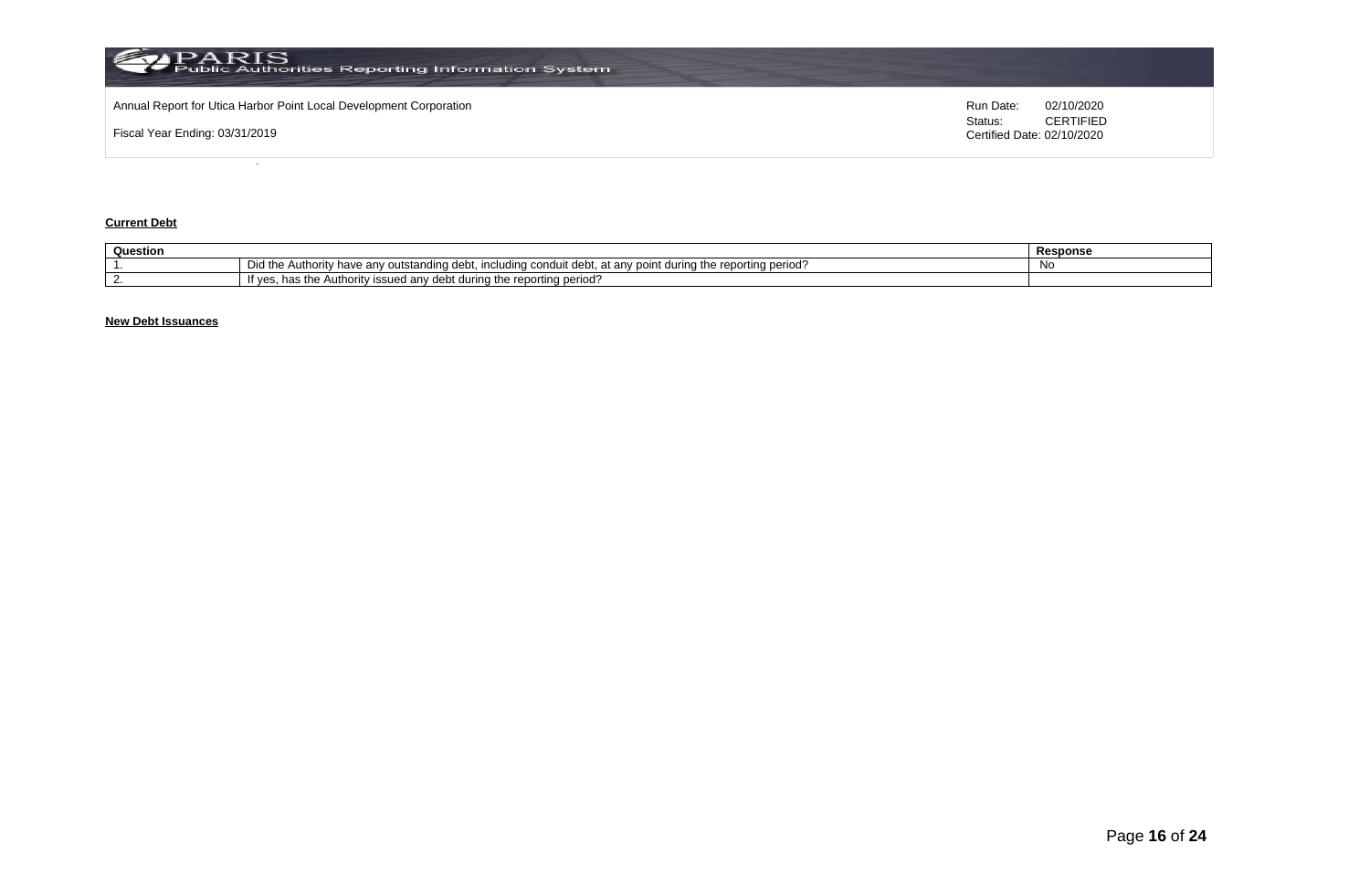

## **Current Debt**

| Question |                                                                                                                                                                                                                          | Response |
|----------|--------------------------------------------------------------------------------------------------------------------------------------------------------------------------------------------------------------------------|----------|
|          | — Did thr<br>he reportina period'<br>Authority have any<br>/ outstandıng debt.<br>$ \sim \sim \sim \sim \sim \sim $<br>$30h+$<br>ant during th<br>includina<br>$\sim$ $\sim$<br>.<br>conqui<br><b>GIIV</b><br><u>urs</u> | NΟ       |
|          | rting period<br>during the report<br>has the<br>a Authority issued any debt<br>vu.                                                                                                                                       |          |

## **New Debt Issuances**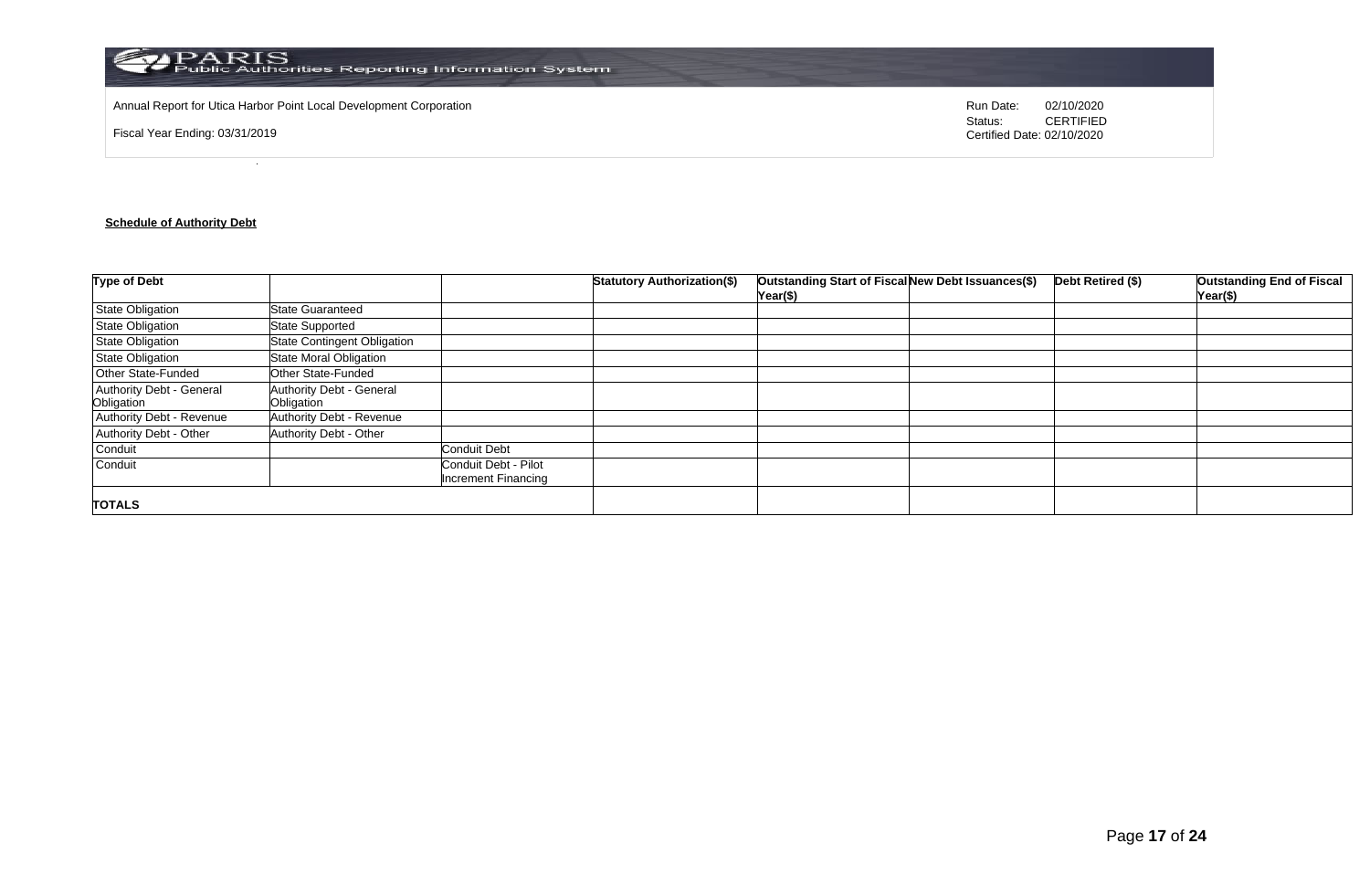

Annual Report for Utica Harbor Point Local Development Corporation **Run Date:** 02/10/2020

Fiscal Year Ending: 03/31/2019

Status: **CERTIFIED** Certified Date: 02/10/2020

## **Schedule of Authority Debt**

| <b>Type of Debt</b>                    |                                        |                                                    | <b>Statutory Authorization(\$)</b> | Outstanding Start of Fiscal New Debt Issuances(\$)<br>Year(\$) | Debt Retired (\$) | <b>Outstanding End of Fiscal</b><br>Year(\$) |
|----------------------------------------|----------------------------------------|----------------------------------------------------|------------------------------------|----------------------------------------------------------------|-------------------|----------------------------------------------|
| <b>State Obligation</b>                | <b>State Guaranteed</b>                |                                                    |                                    |                                                                |                   |                                              |
| <b>State Obligation</b>                | <b>State Supported</b>                 |                                                    |                                    |                                                                |                   |                                              |
| <b>State Obligation</b>                | <b>State Contingent Obligation</b>     |                                                    |                                    |                                                                |                   |                                              |
| <b>State Obligation</b>                | <b>State Moral Obligation</b>          |                                                    |                                    |                                                                |                   |                                              |
| Other State-Funded                     | Other State-Funded                     |                                                    |                                    |                                                                |                   |                                              |
| Authority Debt - General<br>Obligation | Authority Debt - General<br>Obligation |                                                    |                                    |                                                                |                   |                                              |
| Authority Debt - Revenue               | Authority Debt - Revenue               |                                                    |                                    |                                                                |                   |                                              |
| Authority Debt - Other                 | <b>Authority Debt - Other</b>          |                                                    |                                    |                                                                |                   |                                              |
| Conduit                                |                                        | <b>Conduit Debt</b>                                |                                    |                                                                |                   |                                              |
| Conduit                                |                                        | Conduit Debt - Pilot<br><b>Increment Financing</b> |                                    |                                                                |                   |                                              |
| <b>TOTALS</b>                          |                                        |                                                    |                                    |                                                                |                   |                                              |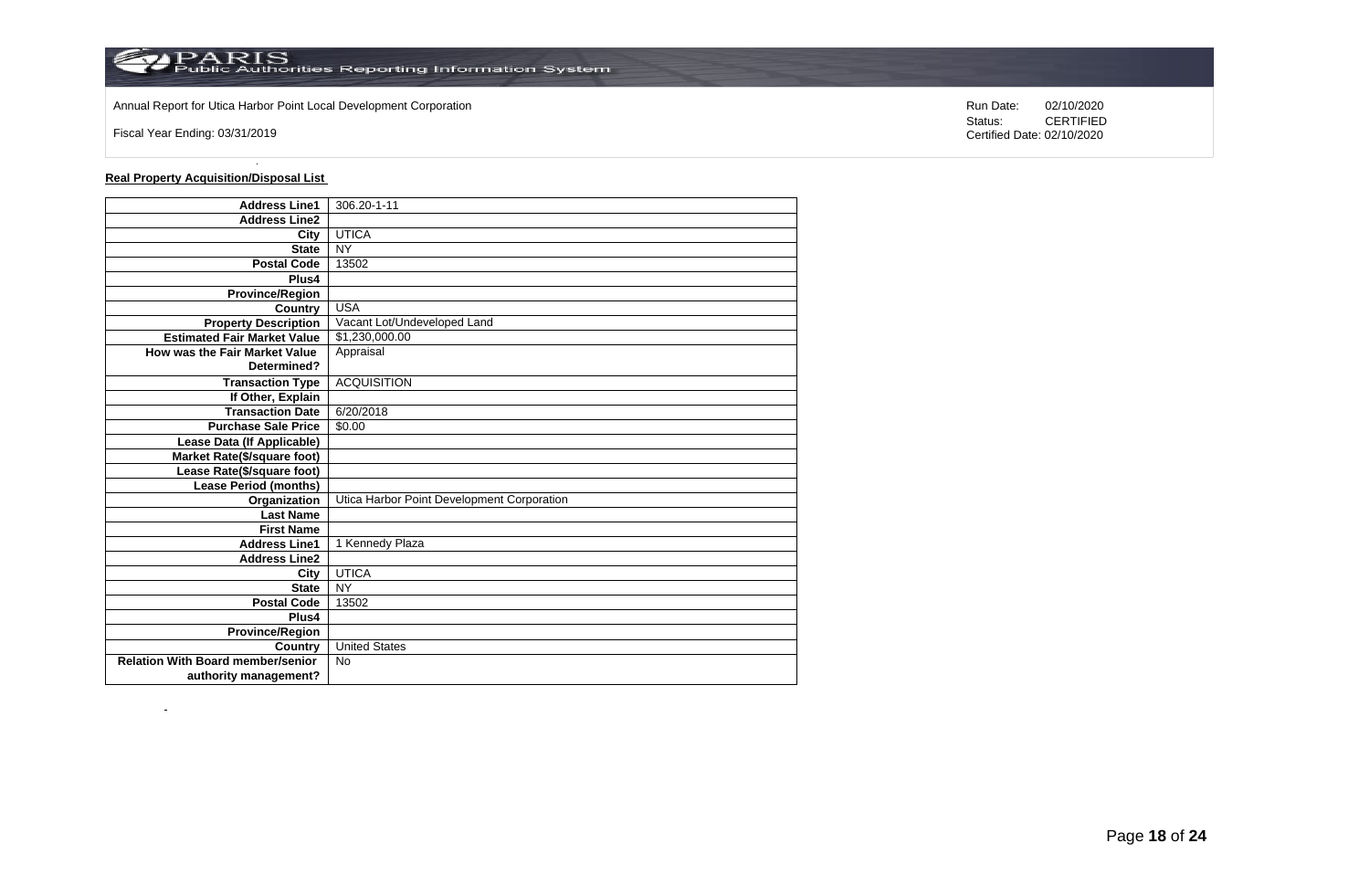

Annual Report for Utica Harbor Point Local Development Corporation **Run Date:** 02/10/2020

Fiscal Year Ending: 03/31/2019

 $\sim$ 

**Real Property Acquisition/Disposal List** 

| <b>Address Line1</b>                     | 306.20-1-11                                |
|------------------------------------------|--------------------------------------------|
| <b>Address Line2</b>                     |                                            |
| City                                     | <b>UTICA</b>                               |
| <b>State</b>                             | <b>NY</b>                                  |
| <b>Postal Code</b>                       | 13502                                      |
| Plus4                                    |                                            |
| <b>Province/Region</b>                   |                                            |
| Country                                  | <b>USA</b>                                 |
| <b>Property Description</b>              | Vacant Lot/Undeveloped Land                |
| <b>Estimated Fair Market Value</b>       | \$1,230,000.00                             |
| How was the Fair Market Value            | Appraisal                                  |
| Determined?                              |                                            |
| <b>Transaction Type</b>                  | <b>ACQUISITION</b>                         |
| If Other, Explain                        |                                            |
| <b>Transaction Date</b>                  | 6/20/2018                                  |
| <b>Purchase Sale Price</b>               | \$0.00                                     |
| Lease Data (If Applicable)               |                                            |
| Market Rate(\$/square foot)              |                                            |
| Lease Rate(\$/square foot)               |                                            |
| <b>Lease Period (months)</b>             |                                            |
| <b>Organization</b>                      | Utica Harbor Point Development Corporation |
| <b>Last Name</b>                         |                                            |
| <b>First Name</b>                        |                                            |
| <b>Address Line1</b>                     | 1 Kennedy Plaza                            |
| <b>Address Line2</b>                     |                                            |
| City                                     | <b>UTICA</b>                               |
| <b>State</b>                             | <b>NY</b>                                  |
| <b>Postal Code</b>                       | 13502                                      |
| Plus4                                    |                                            |
| <b>Province/Region</b>                   |                                            |
| Country                                  | <b>United States</b>                       |
| <b>Relation With Board member/senior</b> | No                                         |
| authority management?                    |                                            |

Status: **CERTIFIED** Certified Date: 02/10/2020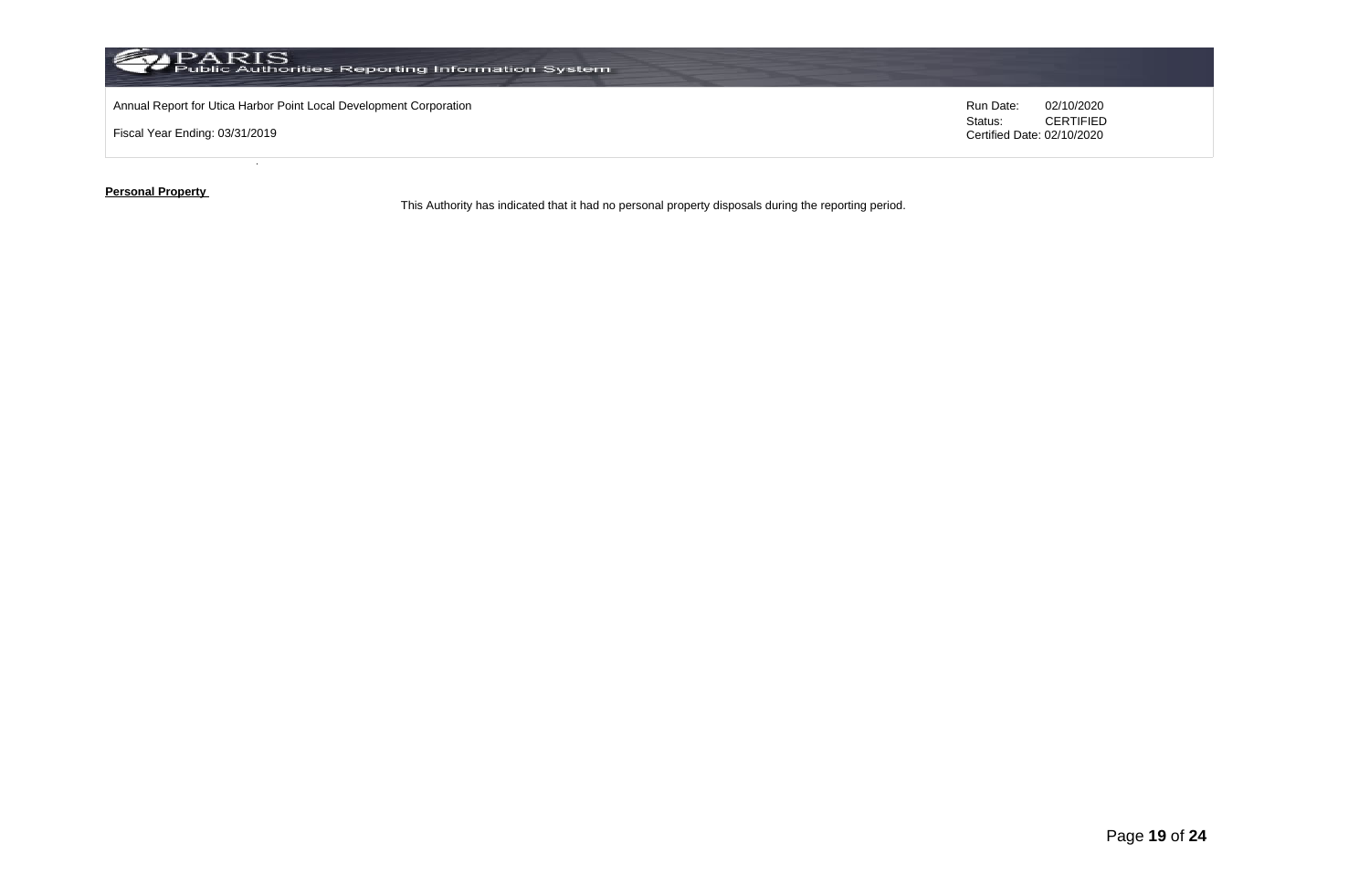

**Personal Property** 

This Authority has indicated that it had no personal property disposals during the reporting period.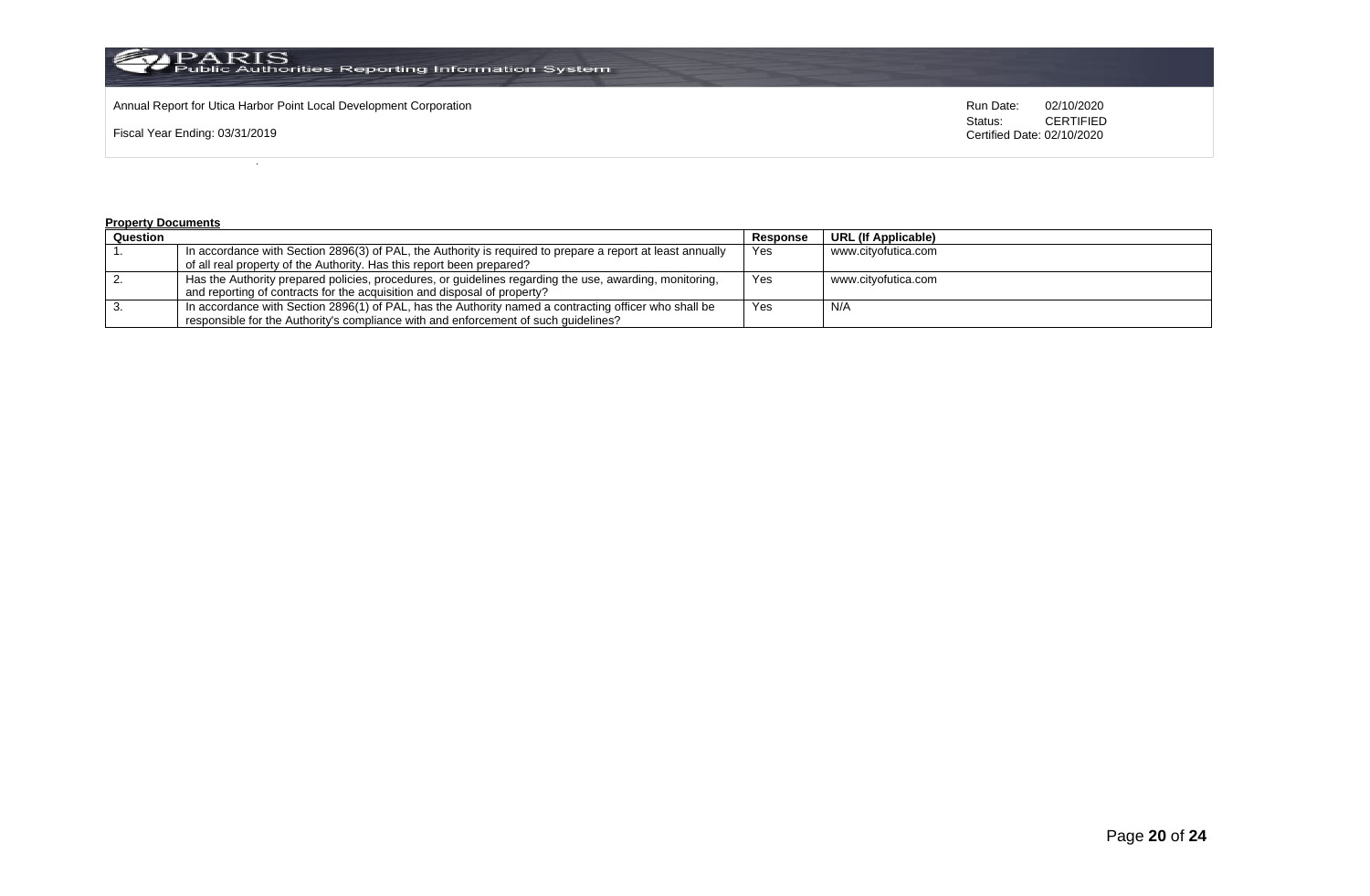

Annual Report for Utica Harbor Point Local Development Corporation **Run Date:** 02/10/2020 Run Date: 02/10/2020

Fiscal Year Ending: 03/31/2019

Status: **CERTIFIED** Certified Date: 02/10/2020

#### **Property Documents**

| Question |                                                                                                            | Response | URL (If Applicable) |
|----------|------------------------------------------------------------------------------------------------------------|----------|---------------------|
|          | In accordance with Section 2896(3) of PAL, the Authority is required to prepare a report at least annually | Yes      | www.citvofutica.com |
|          | of all real property of the Authority. Has this report been prepared?                                      |          |                     |
|          | Has the Authority prepared policies, procedures, or guidelines regarding the use, awarding, monitoring,    | Yes      | www.citvofutica.com |
|          | and reporting of contracts for the acquisition and disposal of property?                                   |          |                     |
|          | In accordance with Section 2896(1) of PAL, has the Authority named a contracting officer who shall be      | Yes      | N/A                 |
|          | responsible for the Authority's compliance with and enforcement of such quidelines?                        |          |                     |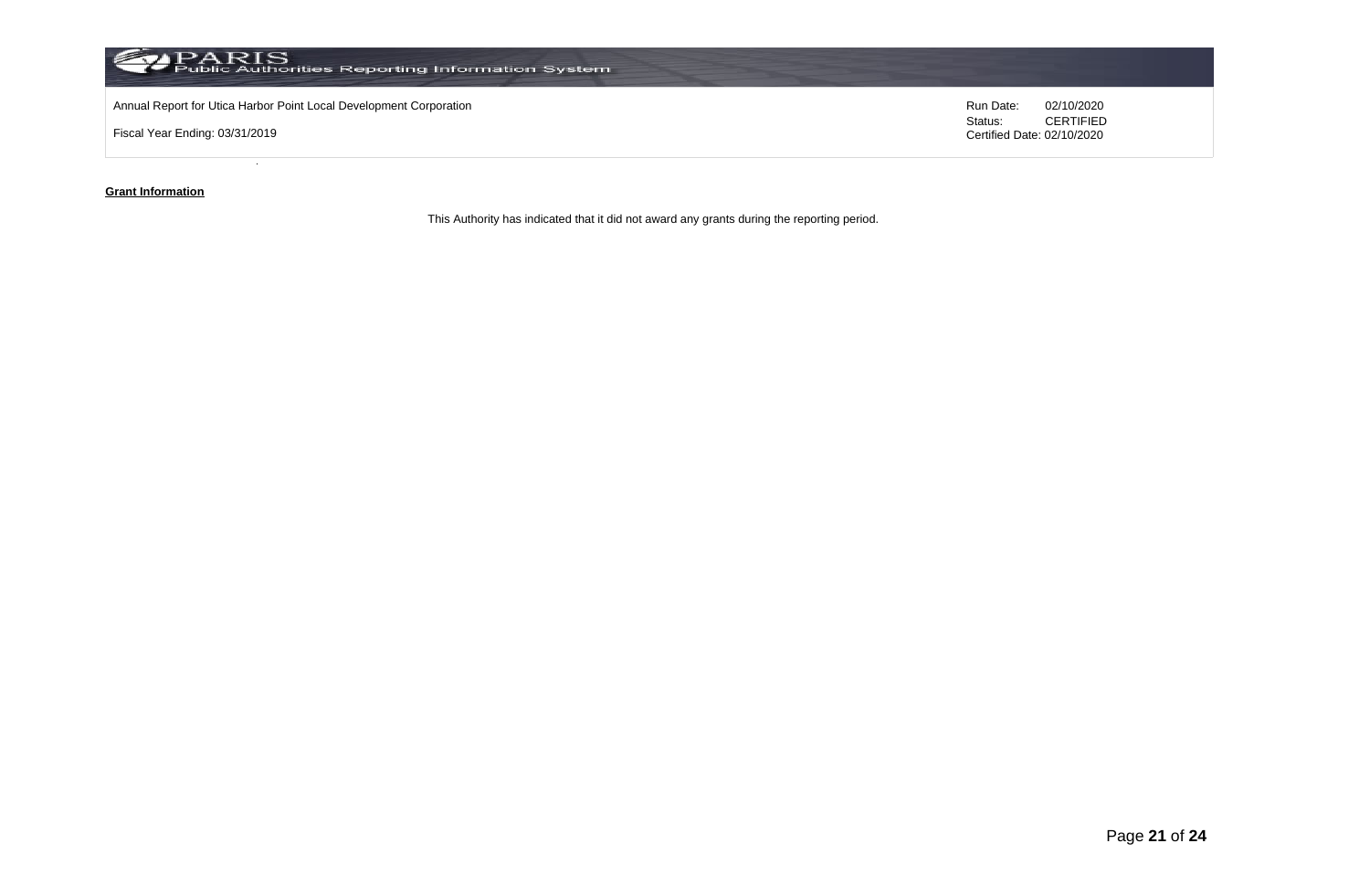

### **Grant Information**

This Authority has indicated that it did not award any grants during the reporting period.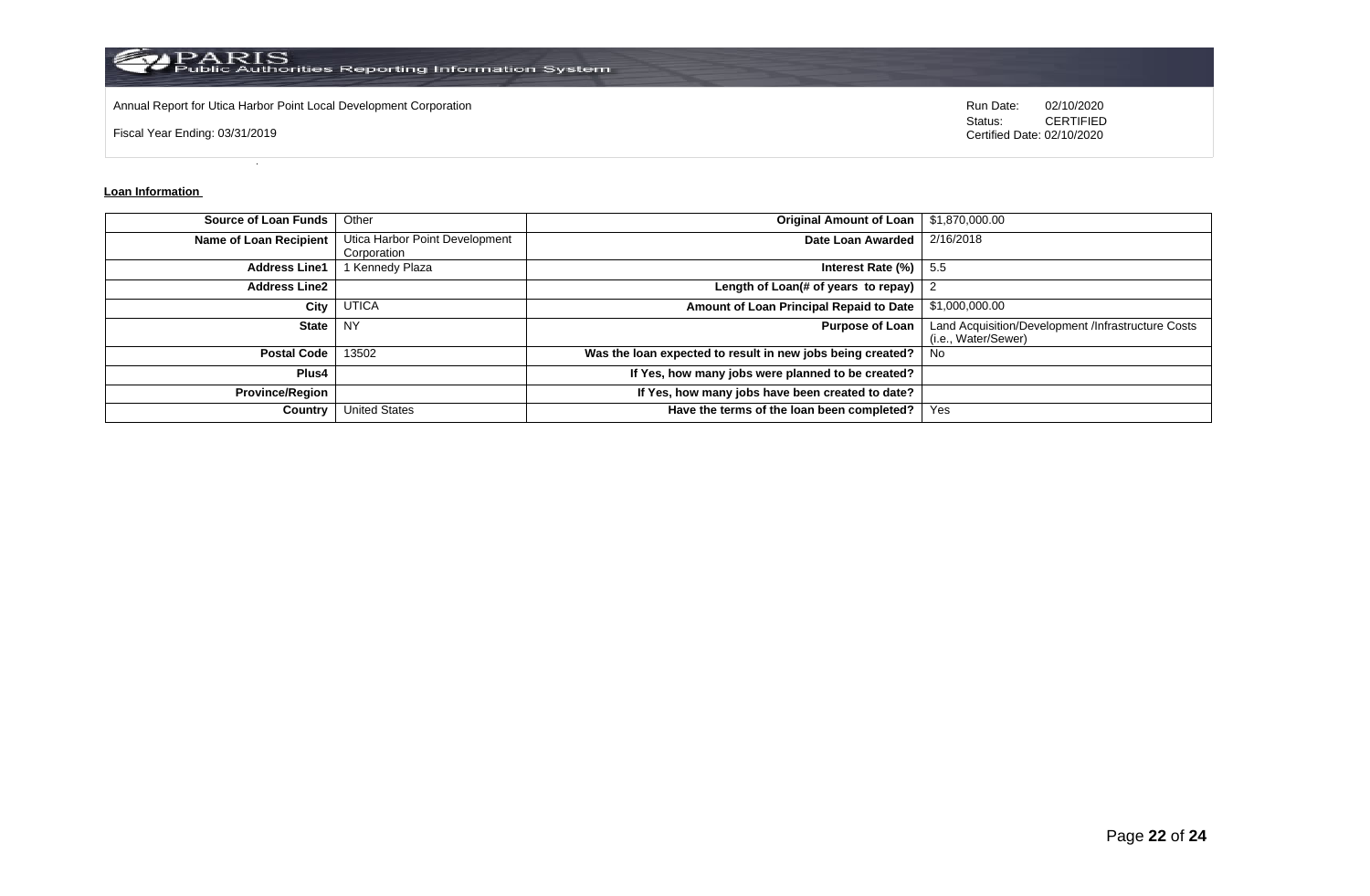

Annual Report for Utica Harbor Point Local Development Corporation **Run Date:** 02/10/2020 Run Date: 02/10/2020

Fiscal Year Ending: 03/31/2019

Status: **CERTIFIED** Certified Date: 02/10/2020

### **Loan Information**

| <b>Source of Loan Funds</b>   | Other                                         | <b>Original Amount of Loan</b>                             | \$1,870,000.00                                                            |
|-------------------------------|-----------------------------------------------|------------------------------------------------------------|---------------------------------------------------------------------------|
| <b>Name of Loan Recipient</b> | Utica Harbor Point Development<br>Corporation | Date Loan Awarded                                          | 2/16/2018                                                                 |
| <b>Address Line1</b>          | Kennedy Plaza                                 | Interest Rate (%)                                          | 5.5                                                                       |
| <b>Address Line2</b>          |                                               | Length of Loan(# of years to repay)                        |                                                                           |
| City                          | <b>UTICA</b>                                  | Amount of Loan Principal Repaid to Date                    | \$1,000,000.00                                                            |
| <b>State</b>                  | <b>NY</b>                                     | <b>Purpose of Loan</b>                                     | Land Acquisition/Development /Infrastructure Costs<br>(i.e., Water/Sewer) |
| <b>Postal Code</b>            | 13502                                         | Was the loan expected to result in new jobs being created? | No.                                                                       |
| Plus4                         |                                               | If Yes, how many jobs were planned to be created?          |                                                                           |
| <b>Province/Region</b>        |                                               | If Yes, how many jobs have been created to date?           |                                                                           |
| Country                       | <b>United States</b>                          | Have the terms of the loan been completed?                 | Yes                                                                       |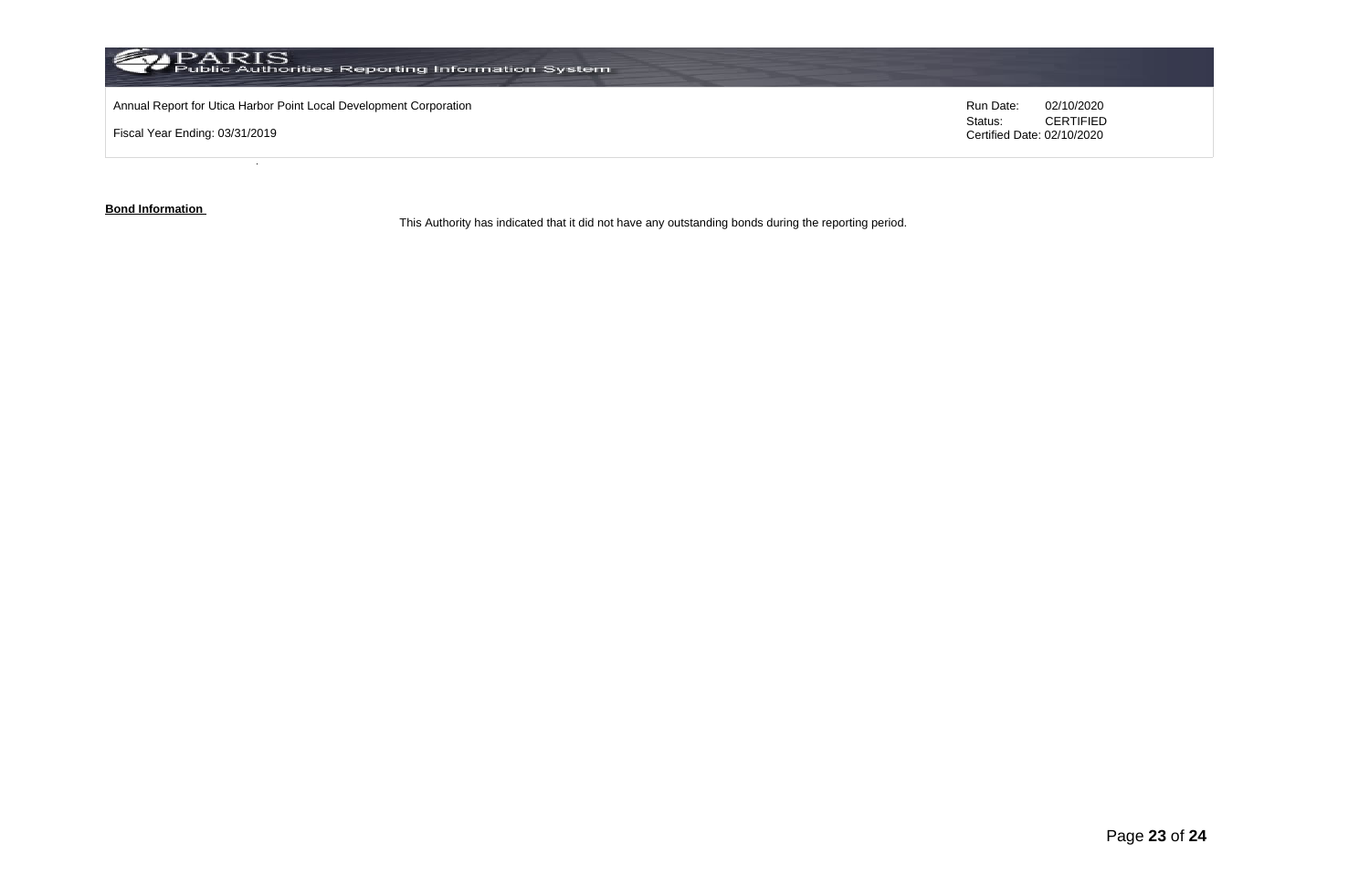

**Bond Information** 

This Authority has indicated that it did not have any outstanding bonds during the reporting period.